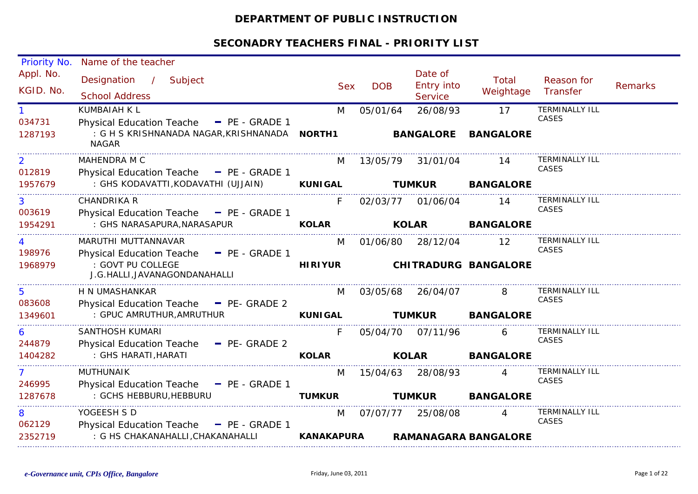# **DEPARTMENT OF PUBLIC INSTRUCTION**

| Priority No.             | Name of the teacher                                               |                   |            |                                                |                             |                                |                |
|--------------------------|-------------------------------------------------------------------|-------------------|------------|------------------------------------------------|-----------------------------|--------------------------------|----------------|
| Appl. No.<br>KGID. No.   | Designation /<br>Subject<br><b>School Address</b>                 | <b>Sex</b>        | <b>DOB</b> | Date of<br><b>Entry into</b><br><b>Service</b> | Total<br>Weightage          | Reason for<br>Transfer         | <b>Remarks</b> |
| 034731                   | <b>KUMBAIAH K L</b><br>Physical Education Teache - PE - GRADE 1   | M                 | 05/01/64   | 26/08/93                                       | 17                          | <b>TERMINALLY ILL</b><br>CASES |                |
| 1287193                  | <b>NAGAR</b>                                                      |                   |            | <b>BANGALORE</b>                               | <b>BANGALORE</b>            |                                |                |
| $\overline{2}$<br>012819 | MAHENDRA M C<br>Physical Education Teache - PE - GRADE 1          | M                 | 13/05/79   | 31/01/04                                       | 14                          | <b>TERMINALLY ILL</b><br>CASES |                |
| 1957679                  | : GHS KODAVATTI, KODAVATHI (UJJAIN)                               | <b>KUNIGAL</b>    |            | <b>TUMKUR</b>                                  | <b>BANGALORE</b>            |                                |                |
| 3<br>003619              | <b>CHANDRIKA R</b><br>Physical Education Teache - PE - GRADE 1    | F                 | 02/03/77   | 01/06/04                                       | 14                          | <b>TERMINALLY ILL</b><br>CASES |                |
| 1954291                  | : GHS NARASAPURA, NARASAPUR                                       | <b>KOLAR</b>      |            | <b>KOLAR</b>                                   | <b>BANGALORE</b>            |                                |                |
| 4<br>198976              | MARUTHI MUTTANNAVAR<br>Physical Education Teache - PE - GRADE 1   | M                 | 01/06/80   | 28/12/04                                       | $12 \overline{ }$           | <b>TERMINALLY ILL</b><br>CASES |                |
| 1968979                  | : GOVT PU COLLEGE<br>J.G.HALLI, JAVANAGONDANAHALLI                | <b>HIRIYUR</b>    |            |                                                | <b>CHITRADURG BANGALORE</b> |                                |                |
| 5.<br>083608             | H N UMASHANKAR<br>Physical Education Teache - PE- GRADE 2         | M                 | 03/05/68   | 26/04/07                                       |                             | <b>TERMINALLY ILL</b><br>CASES |                |
| 1349601                  | : GPUC AMRUTHUR, AMRUTHUR                                         | <b>KUNIGAL</b>    |            | <b>TUMKUR</b>                                  | <b>BANGALORE</b>            |                                |                |
| 6<br>244879              | <b>SANTHOSH KUMARI</b><br>Physical Education Teache - PE- GRADE 2 | F                 | 05/04/70   | 07/11/96                                       | 6                           | <b>TERMINALLY ILL</b><br>CASES |                |
| 1404282                  | : GHS HARATI, HARATI                                              | <b>KOLAR</b>      |            | <b>KOLAR</b>                                   | <b>BANGALORE</b>            |                                |                |
| 7<br>246995              | <b>MUTHUNAIK</b><br>Physical Education Teache - PE - GRADE 1      | M                 | 15/04/63   | 28/08/93                                       |                             | <b>TERMINALLY ILL</b><br>CASES |                |
| 1287678                  | : GCHS HEBBURU, HEBBURU                                           | <b>TUMKUR</b>     |            | <b>TUMKUR</b>                                  | <b>BANGALORE</b>            |                                |                |
| 8<br>062129              | YOGEESH S D<br>Physical Education Teache - PE - GRADE 1           | M                 | 07/07/77   | 25/08/08                                       |                             | <b>TERMINALLY ILL</b><br>CASES |                |
| 2352719                  | : G HS CHAKANAHALLI, CHAKANAHALLI                                 | <b>KANAKAPURA</b> |            |                                                | <b>RAMANAGARA BANGALORE</b> |                                |                |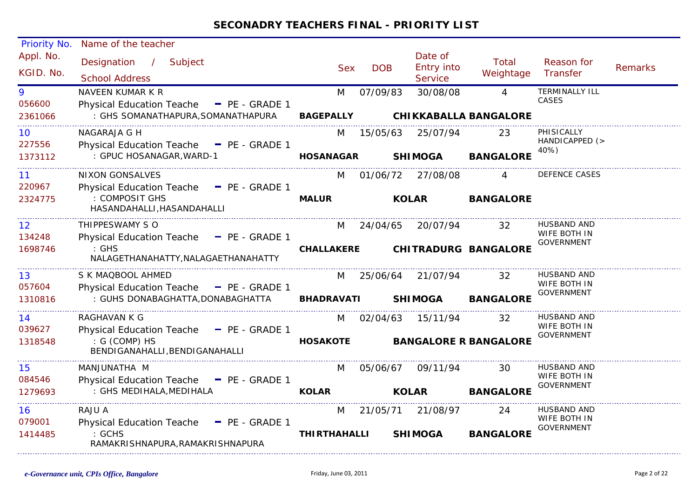| Priority No.           | Name of the teacher                                                            |                     |            |                                         |                              |                                   |                |
|------------------------|--------------------------------------------------------------------------------|---------------------|------------|-----------------------------------------|------------------------------|-----------------------------------|----------------|
| Appl. No.<br>KGID. No. | Designation / Subject<br><b>School Address</b>                                 | <b>Sex</b>          | <b>DOB</b> | Date of<br><b>Entry into</b><br>Service | Total<br>Weightage           | Reason for<br>Transfer            | <b>Remarks</b> |
| 9                      | NAVEEN KUMAR K R                                                               | M                   | 07/09/83   | 30/08/08                                | $\overline{4}$               | <b>TERMINALLY ILL</b>             |                |
| 056600<br>2361066      | Physical Education Teache - PE - GRADE 1<br>: GHS SOMANATHAPURA, SOMANATHAPURA | <b>BAGEPALLY</b>    |            |                                         | <b>CHIKKABALLA BANGALORE</b> | CASES                             |                |
| 10                     | NAGARAJA G H                                                                   | M                   | 15/05/63   | 25/07/94                                | 23                           | PHISICALLY                        |                |
| 227556                 | Physical Education Teache $=$ PE - GRADE 1                                     |                     |            |                                         |                              | HANDICAPPED (><br>40%)            |                |
| 1373112                | : GPUC HOSANAGAR, WARD-1                                                       | <b>HOSANAGAR</b>    |            | <b>SHIMOGA</b>                          | <b>BANGALORE</b>             |                                   |                |
| 11                     | <b>NIXON GONSALVES</b>                                                         | M                   | 01/06/72   | 27/08/08                                | $\overline{A}$               | DEFENCE CASES                     |                |
| 220967                 | Physical Education Teache - PE - GRADE 1                                       |                     |            |                                         |                              |                                   |                |
| 2324775                | : COMPOSIT GHS<br>HASANDAHALLI, HASANDAHALLI                                   | <b>MALUR</b>        |            | <b>KOLAR</b>                            | <b>BANGALORE</b>             |                                   |                |
| $12 \overline{ }$      | THIPPESWAMY S O                                                                | M                   | 24/04/65   | 20/07/94                                | 32                           | HUSBAND AND                       |                |
| 134248                 | Physical Education Teache - PE - GRADE 1                                       |                     |            |                                         |                              | WIFE BOTH IN<br>GOVERNMENT        |                |
| 1698746                | $:$ GHS<br>NALAGETHANAHATTY, NALAGAETHANAHATTY                                 | <b>CHALLAKERE</b>   |            |                                         | <b>CHITRADURG BANGALORE</b>  |                                   |                |
| 13                     | S K MAQBOOL AHMED                                                              | M                   | 25/06/64   | 21/07/94                                | 32                           | <b>HUSBAND AND</b>                |                |
| 057604                 | Physical Education Teache - PE - GRADE 1                                       |                     |            |                                         |                              | WIFE BOTH IN<br><b>GOVERNMENT</b> |                |
| 1310816                | : GUHS DONABAGHATTA, DONABAGHATTA                                              | <b>BHADRAVATI</b>   |            | <b>SHIMOGA</b>                          | <b>BANGALORE</b>             |                                   |                |
| 14                     | RAGHAVAN K G                                                                   | M                   | 02/04/63   | 15/11/94                                | 32                           | HUSBAND AND                       |                |
| 039627                 | Physical Education Teache - PE - GRADE 1                                       |                     |            |                                         |                              | WIFE BOTH IN<br><b>GOVERNMENT</b> |                |
| 1318548                | : G (COMP) HS<br>BENDIGANAHALLI, BENDIGANAHALLI                                | <b>HOSAKOTE</b>     |            |                                         | <b>BANGALORE R BANGALORE</b> |                                   |                |
| 15                     | MANJUNATHA M                                                                   | M                   | 05/06/67   | 09/11/94                                | 30                           | HUSBAND AND                       |                |
| 084546                 | Physical Education Teache - PE - GRADE 1                                       |                     |            |                                         |                              | WIFE BOTH IN<br><b>GOVERNMENT</b> |                |
| 1279693                | : GHS MEDIHALA, MEDIHALA                                                       | <b>KOLAR</b>        |            | <b>KOLAR</b>                            | <b>BANGALORE</b>             |                                   |                |
| 16                     | RAJU A                                                                         | M                   | 21/05/71   | 21/08/97                                | 24                           | HUSBAND AND                       |                |
| 079001                 | Physical Education Teache - PE - GRADE 1                                       |                     |            |                                         |                              | WIFE BOTH IN<br><b>GOVERNMENT</b> |                |
| 1414485                | : GCHS<br>RAMAKRISHNAPURA, RAMAKRISHNAPURA                                     | <b>THIRTHAHALLI</b> |            | <b>SHIMOGA</b>                          | <b>BANGALORE</b>             |                                   |                |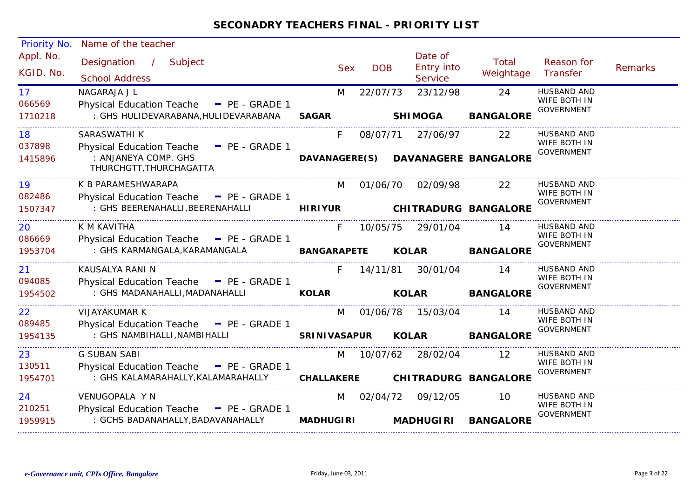| Priority No.           | Name of the teacher                               |                      |            |              |                                         |                             |                                   |                |
|------------------------|---------------------------------------------------|----------------------|------------|--------------|-----------------------------------------|-----------------------------|-----------------------------------|----------------|
| Appl. No.<br>KGID. No. | Designation /<br>Subject<br><b>School Address</b> | <b>Sex</b>           | <b>DOB</b> |              | Date of<br><b>Entry into</b><br>Service | Total<br>Weightage          | Reason for<br>Transfer            | <b>Remarks</b> |
| 17 <sup>2</sup>        | NAGARAJA J L                                      | M                    | 22/07/73   |              | 23/12/98                                | 24                          | <b>HUSBAND AND</b>                |                |
| 066569                 | Physical Education Teache - PE - GRADE 1          |                      |            |              |                                         |                             | WIFE BOTH IN<br><b>GOVERNMENT</b> |                |
| 1710218                | : GHS HULIDEVARABANA, HULIDEVARABANA              | <b>SAGAR</b>         |            |              | <b>SHIMOGA</b>                          | <b>BANGALORE</b>            |                                   |                |
| 18                     | SARASWATHI K                                      | F.                   | 08/07/71   |              | 27/06/97                                | 22                          | HUSBAND AND                       |                |
| 037898                 | Physical Education Teache - PE - GRADE 1          |                      |            |              |                                         |                             | WIFE BOTH IN                      |                |
| 1415896                | : ANJANEYA COMP. GHS<br>THURCHGTT, THURCHAGATTA   | <b>DAVANAGERE(S)</b> |            |              |                                         | <b>DAVANAGERE BANGALORE</b> | <b>GOVERNMENT</b>                 |                |
| 19                     | K B PARAMESHWARAPA                                | M                    | 01/06/70   |              | 02/09/98                                | 22                          | HUSBAND AND                       |                |
| 082486                 | Physical Education Teache - PE - GRADE 1          |                      |            |              |                                         |                             | WIFE BOTH IN                      |                |
| 1507347                | : GHS BEERENAHALLI, BEERENAHALLI                  | <b>HIRIYUR</b>       |            |              |                                         | <b>CHITRADURG BANGALORE</b> | <b>GOVERNMENT</b>                 |                |
| 20                     | K M KAVITHA                                       | F.                   | 10/05/75   |              | 29/01/04                                | 14                          | HUSBAND AND                       |                |
| 086669                 | Physical Education Teache - PE - GRADE 1          |                      |            |              |                                         |                             | WIFE BOTH IN                      |                |
| 1953704                | : GHS KARMANGALA, KARAMANGALA                     | <b>BANGARAPETE</b>   |            | <b>KOLAR</b> |                                         | <b>BANGALORE</b>            | <b>GOVERNMENT</b>                 |                |
|                        |                                                   |                      |            |              |                                         |                             |                                   |                |
| 21                     | KAUSALYA RANI N                                   | F.                   | 14/11/81   |              | 30/01/04                                | 14                          | HUSBAND AND<br>WIFE BOTH IN       |                |
| 094085                 | Physical Education Teache - PE - GRADE 1          |                      |            |              |                                         |                             | <b>GOVERNMENT</b>                 |                |
| 1954502                | : GHS MADANAHALLI, MADANAHALLI                    | <b>KOLAR</b>         |            | <b>KOLAR</b> |                                         | <b>BANGALORE</b>            |                                   |                |
| 22                     | <b>VIJAYAKUMAR K</b>                              | M                    | 01/06/78   |              | 15/03/04                                | 14                          | <b>HUSBAND AND</b>                |                |
| 089485                 | Physical Education Teache - PE - GRADE 1          |                      |            |              |                                         |                             | WIFE BOTH IN<br><b>GOVERNMENT</b> |                |
| 1954135                | : GHS NAMBIHALLI, NAMBIHALLI                      | SRINIVASAPUR KOLAR   |            |              |                                         | <b>BANGALORE</b>            |                                   |                |
| 23                     | <b>G SUBAN SABI</b>                               | M                    |            |              | 10/07/62 28/02/04                       | 12 <sup>°</sup>             | <b>HUSBAND AND</b>                |                |
| 130511                 | Physical Education Teache - PE - GRADE 1          |                      |            |              |                                         |                             | WIFE BOTH IN                      |                |
| 1954701                | : GHS KALAMARAHALLY, KALAMARAHALLY                | <b>CHALLAKERE</b>    |            |              |                                         | <b>CHITRADURG BANGALORE</b> | <b>GOVERNMENT</b>                 |                |
|                        |                                                   |                      |            |              |                                         |                             |                                   |                |
| 24                     | VENUGOPALA Y N                                    | M                    |            |              | 02/04/72 09/12/05                       | 10                          | HUSBAND AND<br>WIFE BOTH IN       |                |
| 210251                 | Physical Education Teache - PE - GRADE 1          |                      |            |              |                                         |                             | <b>GOVERNMENT</b>                 |                |
| 1959915                | : GCHS BADANAHALLY, BADAVANAHALLY                 | <b>MADHUGIRI</b>     |            |              | <b>MADHUGIRI</b>                        | <b>BANGALORE</b>            |                                   |                |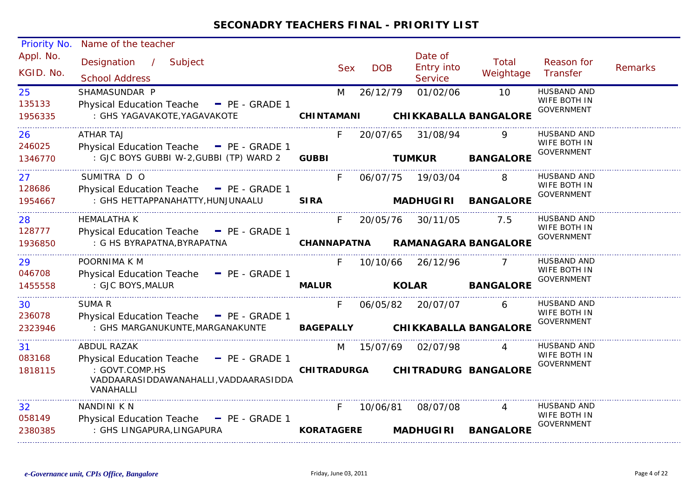| <b>Priority No.</b>     | Name of the teacher                                                                       |                    |            |            |              |                                  |                                    |                                                         |                |
|-------------------------|-------------------------------------------------------------------------------------------|--------------------|------------|------------|--------------|----------------------------------|------------------------------------|---------------------------------------------------------|----------------|
| Appl. No.<br>KGID. No.  | Designation<br>$\frac{1}{2}$<br>Subject<br><b>School Address</b>                          |                    | <b>Sex</b> | <b>DOB</b> |              | Date of<br>Entry into<br>Service | Total<br>Weightage                 | Reason for<br>Transfer                                  | <b>Remarks</b> |
| 25<br>135133<br>1956335 | SHAMASUNDAR P<br>Physical Education Teache - PE - GRADE 1<br>: GHS YAGAVAKOTE, YAGAVAKOTE | <b>CHINTAMANI</b>  | M          | 26/12/79   |              | 01/02/06                         | 10<br><b>CHIKKABALLA BANGALORE</b> | <b>HUSBAND AND</b><br>WIFE BOTH IN<br><b>GOVERNMENT</b> |                |
| 26<br>246025            | <b>ATHAR TAJ</b><br>Physical Education Teache - PE - GRADE 1                              |                    | F          | 20/07/65   |              | 31/08/94                         | Q                                  | <b>HUSBAND AND</b><br>WIFE BOTH IN<br><b>GOVERNMENT</b> |                |
| 1346770                 | : GJC BOYS GUBBI W-2, GUBBI (TP) WARD 2                                                   | <b>GUBBI</b>       |            |            |              | <b>TUMKUR</b>                    | <b>BANGALORE</b>                   |                                                         |                |
| 27<br>128686            | SUMITRA D O<br>Physical Education Teache - PE - GRADE 1                                   |                    | F.         | 06/07/75   |              | 19/03/04                         |                                    | <b>HUSBAND AND</b><br>WIFE BOTH IN                      |                |
| 1954667                 | : GHS HETTAPPANAHATTY, HUNJUNAALU                                                         | <b>SIRA</b>        |            |            |              | <b>MADHUGIRI</b>                 | <b>BANGALORE</b>                   | <b>GOVERNMENT</b>                                       |                |
| 28<br>128777            | <b>HEMALATHA K</b><br>Physical Education Teache - PE - GRADE 1                            |                    | F.         | 20/05/76   |              | 30/11/05                         | 7.5                                | <b>HUSBAND AND</b><br>WIFE BOTH IN<br><b>GOVERNMENT</b> |                |
| 1936850                 | : G HS BYRAPATNA, BYRAPATNA                                                               | <b>CHANNAPATNA</b> |            |            |              |                                  | <b>RAMANAGARA BANGALORE</b>        |                                                         |                |
| 29<br>046708            | POORNIMA K M<br>Physical Education Teache - PE - GRADE 1                                  |                    | F.         | 10/10/66   |              | 26/12/96                         |                                    | HUSBAND AND<br>WIFE BOTH IN<br><b>GOVERNMENT</b>        |                |
| 1455558                 | : GJC BOYS, MALUR                                                                         | <b>MALUR</b>       |            |            | <b>KOLAR</b> |                                  | <b>BANGALORE</b>                   |                                                         |                |
| 30<br>236078<br>2323946 | SUMA R<br>Physical Education Teache - PE - GRADE 1<br>: GHS MARGANUKUNTE, MARGANAKUNTE    | <b>BAGEPALLY</b>   | F.         | 06/05/82   |              | 20/07/07                         | 6<br><b>CHIKKABALLA BANGALORE</b>  | <b>HUSBAND AND</b><br>WIFE BOTH IN<br><b>GOVERNMENT</b> |                |
|                         |                                                                                           |                    |            |            |              |                                  |                                    |                                                         |                |
| 31<br>083168            | ABDUL RAZAK<br><b>Physical Education Teache</b><br>$P_{E}$ - GRADE 1                      |                    | M          | 15/07/69   |              | 02/07/98                         |                                    | HUSBAND AND<br>WIFE BOTH IN<br><b>GOVERNMENT</b>        |                |
| 1818115                 | : GOVT.COMP.HS<br>VADDAARASIDDAWANAHALLI, VADDAARASIDDA<br>VANAHALLI                      | <b>CHITRADURGA</b> |            |            |              |                                  | <b>CHITRADURG BANGALORE</b>        |                                                         |                |
| 32                      | NANDINI K N                                                                               |                    | F.         | 10/06/81   |              | 08/07/08                         |                                    | <b>HUSBAND AND</b>                                      |                |
| 058149<br>2380385       | Physical Education Teache - PE - GRADE 1<br>: GHS LINGAPURA, LINGAPURA                    | <b>KORATAGERE</b>  |            |            |              | <b>MADHUGIRI</b>                 | <b>BANGALORE</b>                   | WIFE BOTH IN<br><b>GOVERNMENT</b>                       |                |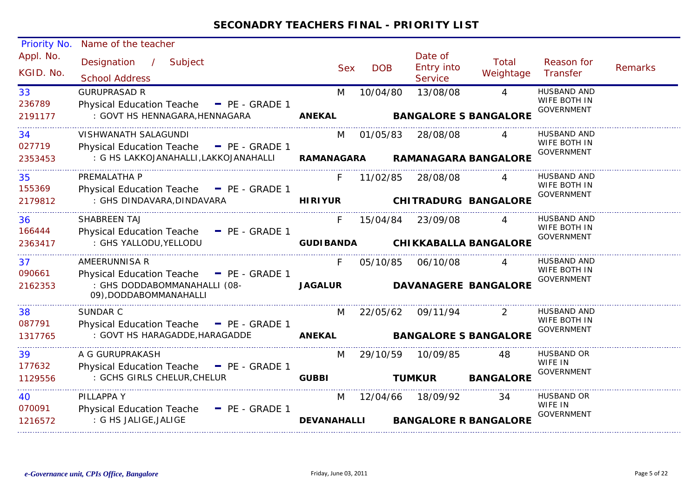| <b>Priority No.</b>     | Name of the teacher                                                                                                 |                         |            |                                         |                                                |                                                         |                |
|-------------------------|---------------------------------------------------------------------------------------------------------------------|-------------------------|------------|-----------------------------------------|------------------------------------------------|---------------------------------------------------------|----------------|
| Appl. No.<br>KGID. No.  | Designation /<br>Subject<br><b>School Address</b>                                                                   | <b>Sex</b>              | <b>DOB</b> | Date of<br><b>Entry into</b><br>Service | Total<br>Weightage                             | Reason for<br><b>Transfer</b>                           | <b>Remarks</b> |
| 33<br>236789<br>2191177 | <b>GURUPRASAD R</b><br>Physical Education Teache - PE - GRADE 1<br>: GOVT HS HENNAGARA, HENNAGARA                   | M<br><b>ANEKAL</b>      | 10/04/80   | 13/08/08                                | $\overline{4}$<br><b>BANGALORE S BANGALORE</b> | <b>HUSBAND AND</b><br>WIFE BOTH IN<br><b>GOVERNMENT</b> |                |
| 34<br>027719<br>2353453 | VISHWANATH SALAGUNDI<br>Physical Education Teache - PE - GRADE 1<br>: G HS LAKKOJANAHALLI, LAKKOJANAHALLI           | M<br><b>RAMANAGARA</b>  | 01/05/83   | 28/08/08                                | $\overline{4}$<br><b>RAMANAGARA BANGALORE</b>  | HUSBAND AND<br>WIFE BOTH IN<br><b>GOVERNMENT</b>        |                |
| 35<br>155369<br>2179812 | PREMALATHA P<br>Physical Education Teache - PE - GRADE 1<br>: GHS DINDAVARA, DINDAVARA                              | F<br><b>HIRIYUR</b>     | 11/02/85   | 28/08/08                                | $\overline{A}$<br><b>CHITRADURG BANGALORE</b>  | <b>HUSBAND AND</b><br>WIFE BOTH IN<br><b>GOVERNMENT</b> |                |
| 36<br>166444<br>2363417 | SHABREEN TAJ<br>Physical Education Teache - PE - GRADE 1<br>: GHS YALLODU, YELLODU                                  | F<br><b>GUDIBANDA</b>   | 15/04/84   | 23/09/08                                | $\Delta$<br><b>CHIKKABALLA BANGALORE</b>       | <b>HUSBAND AND</b><br>WIFE BOTH IN<br>GOVERNMENT        |                |
| 37<br>090661<br>2162353 | AMEERUNNISA R<br>Physical Education Teache - PE - GRADE 1<br>: GHS DODDABOMMANAHALLI (08-<br>09), DODDABOMMANAHALLI | F.<br><b>JAGALUR</b>    | 05/10/85   | 06/10/08                                | <b>DAVANAGERE BANGALORE</b>                    | HUSBAND AND<br>WIFE BOTH IN<br><b>GOVERNMENT</b>        |                |
| 38<br>087791<br>1317765 | SUNDAR C<br>Physical Education Teache - PE - GRADE 1<br>: GOVT HS HARAGADDE, HARAGADDE <b>ANEKAL</b>                | M                       |            | 22/05/62 09/11/94                       | 2<br><b>BANGALORE S BANGALORE</b>              | <b>HUSBAND AND</b><br>WIFE BOTH IN<br><b>GOVERNMENT</b> |                |
| 39<br>177632<br>1129556 | A G GURUPRAKASH<br>Physical Education Teache - PE - GRADE 1<br>: GCHS GIRLS CHELUR, CHELUR                          | M<br><b>GUBBI</b>       |            | 29/10/59 10/09/85<br><b>TUMKUR</b>      | 48<br><b>BANGALORE</b>                         | HUSBAND OR<br>WIFE IN<br><b>GOVERNMENT</b>              |                |
| 40<br>070091<br>1216572 | PILLAPPA Y<br>Physical Education Teache - PE - GRADE 1<br>: G HS JALIGE, JALIGE                                     | M<br><b>DEVANAHALLI</b> |            | 12/04/66 18/09/92                       | 34<br><b>BANGALORE R BANGALORE</b>             | HUSBAND OR<br>WIFE IN<br><b>GOVERNMENT</b>              |                |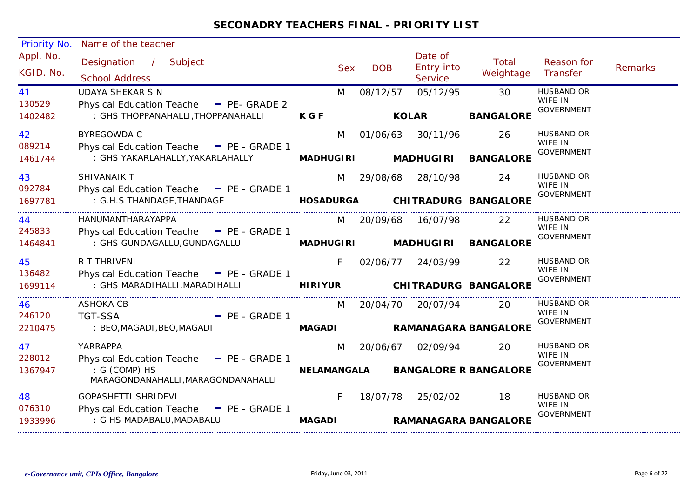| Priority No.           | Name of the teacher                                 |                |            |                                         |                    |                              |                |
|------------------------|-----------------------------------------------------|----------------|------------|-----------------------------------------|--------------------|------------------------------|----------------|
| Appl. No.<br>KGID. No. | Designation / Subject<br><b>School Address</b>      | <b>Sex</b>     | <b>DOB</b> | Date of<br><b>Entry into</b><br>Service | Total<br>Weightage | Reason for<br>Transfer       | <b>Remarks</b> |
| 41                     | <b>UDAYA SHEKAR S N</b>                             | M              | 08/12/57   | 05/12/95                                | 30                 | <b>HUSBAND OR</b>            |                |
| 130529                 | Physical Education Teache - PE- GRADE 2             |                |            |                                         |                    | WIFE IN<br><b>GOVERNMENT</b> |                |
| 1402482                | : GHS THOPPANAHALLI, THOPPANAHALLI                  | <b>KGF</b>     |            | <b>KOLAR</b>                            | <b>BANGALORE</b>   |                              |                |
| 42                     | <b>BYREGOWDA C</b>                                  | M              |            | 01/06/63 30/11/96                       | 26                 | HUSBAND OR                   |                |
| 089214                 | Physical Education Teache - PE - GRADE 1            |                |            |                                         |                    | WIFE IN<br><b>GOVERNMENT</b> |                |
| 1461744                | : GHS YAKARLAHALLY, YAKARLAHALLY                    |                |            | <b>MADHUGIRI MADHUGIRI</b>              | <b>BANGALORE</b>   |                              |                |
| 43                     | <b>SHIVANAIK T</b>                                  | M              | 29/08/68   | 28/10/98                                | 24                 | HUSBAND OR                   |                |
| 092784                 | Physical Education Teache - PE - GRADE 1            |                |            |                                         |                    | WIFE IN<br><b>GOVERNMENT</b> |                |
| 1697781                | : G.H.S THANDAGE,THANDAGE                           |                |            | HOSADURGA CHITRADURG BANGALORE          |                    |                              |                |
| 44                     | HANUMANTHARAYAPPA                                   | M              |            | 20/09/68 16/07/98                       | 22                 | <b>HUSBAND OR</b>            |                |
| 245833                 | Physical Education Teache - PE - GRADE 1            |                |            |                                         |                    | WIFE IN<br><b>GOVERNMENT</b> |                |
| 1464841                | : GHS GUNDAGALLU, GUNDAGALLU                        |                |            | MADHUGIRI MADHUGIRI BANGALORE           |                    |                              |                |
| 45                     | R T THRIVENI                                        | F.             |            | 02/06/77 24/03/99                       | 22                 | HUSBAND OR                   |                |
| 136482                 | Physical Education Teache - PE - GRADE 1            |                |            |                                         |                    | WIFE IN<br><b>GOVERNMENT</b> |                |
| 1699114                | : GHS MARADIHALLI, MARADIHALLI                      | <b>HIRIYUR</b> |            | <b>CHITRADURG BANGALORE</b>             |                    |                              |                |
| 46                     | <b>ASHOKA CB</b>                                    | M              |            | 20/04/70 20/07/94                       | 20                 | <b>HUSBAND OR</b>            |                |
| 246120                 | <b>TGT-SSA</b><br>$-$ PE - GRADE 1                  |                |            |                                         |                    | WIFE IN<br>GOVERNMENT        |                |
| 2210475                | : BEO, MAGADI, BEO, MAGADI                          | <b>MAGADI</b>  |            | <b>RAMANAGARA BANGALORE</b>             |                    |                              |                |
| 47                     | YARRAPPA                                            | M              |            | 20/06/67 02/09/94                       | 20                 | HUSBAND OR                   |                |
| 228012                 | Physical Education Teache $=$ PE - GRADE 1          |                |            |                                         |                    | WIFE IN<br>GOVERNMENT        |                |
| 1367947                | : G (COMP) HS<br>MARAGONDANAHALLI, MARAGONDANAHALLI |                |            | NELAMANGALA BANGALORE R BANGALORE       |                    |                              |                |
| 48                     | <b>GOPASHETTI SHRIDEVI</b>                          | F.             |            | 18/07/78 25/02/02                       | 18                 | <b>HUSBAND OR</b>            |                |
| 076310                 | Physical Education Teache - PE - GRADE 1            |                |            |                                         |                    | WIFE IN<br><b>GOVERNMENT</b> |                |
| 1933996                | : G HS MADABALU, MADABALU                           | <b>MAGADI</b>  |            | <b>RAMANAGARA BANGALORE</b>             |                    |                              |                |
|                        |                                                     |                |            |                                         |                    |                              |                |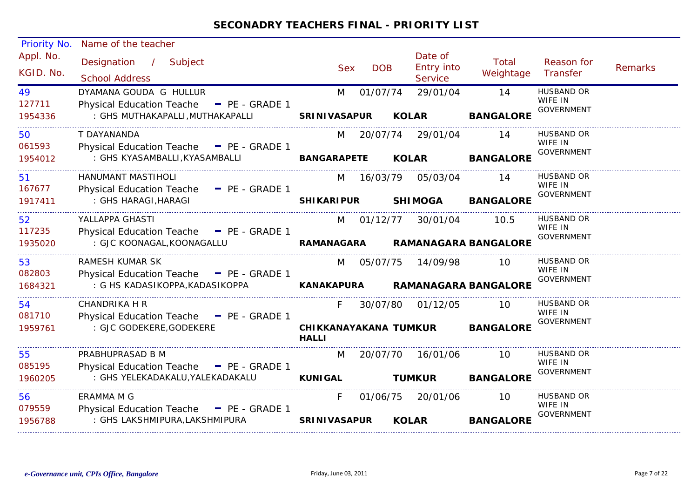| <b>Priority No.</b>     | Name of the teacher                        |                                       |                              |                    |                                   |  |
|-------------------------|--------------------------------------------|---------------------------------------|------------------------------|--------------------|-----------------------------------|--|
| Appl. No.<br>KGID. No.  | Designation / Subject                      | <b>DOB</b><br><b>Sex</b>              | Date of<br><b>Entry into</b> | Total<br>Weightage | Reason for<br>Remarks<br>Transfer |  |
|                         | <b>School Address</b>                      |                                       | Service                      |                    |                                   |  |
| 49                      | DYAMANA GOUDA G HULLUR                     | 01/07/74<br>M                         | 29/01/04                     | 14                 | <b>HUSBAND OR</b>                 |  |
| 127711                  | Physical Education Teache - PE - GRADE 1   |                                       |                              |                    | WIFE IN<br><b>GOVERNMENT</b>      |  |
| 1954336                 | : GHS MUTHAKAPALLI, MUTHAKAPALLI           | <b>SRINIVASAPUR</b>                   | <b>KOLAR</b>                 | <b>BANGALORE</b>   |                                   |  |
| 50                      | T DAYANANDA                                | M                                     | 20/07/74 29/01/04            | 14                 | <b>HUSBAND OR</b>                 |  |
| 061593                  | Physical Education Teache $=$ PE - GRADE 1 |                                       |                              |                    | WIFE IN<br><b>GOVERNMENT</b>      |  |
| 1954012                 | : GHS KYASAMBALLI, KYASAMBALLI             | BANGARAPETE KOLAR                     |                              | <b>BANGALORE</b>   |                                   |  |
| 51                      | HANUMANT MASTIHOLI                         | M                                     | 16/03/79 05/03/04            | 14                 | <b>HUSBAND OR</b>                 |  |
| 167677                  | Physical Education Teache - PE - GRADE 1   |                                       |                              |                    | WIFE IN                           |  |
| 1917411                 | : GHS HARAGI, HARAGI                       | <b>SHIKARIPUR</b>                     | <b>SHIMOGA</b>               | <b>BANGALORE</b>   | <b>GOVERNMENT</b>                 |  |
| 52                      | YALLAPPA GHASTI                            |                                       | M 01/12/77 30/01/04          | 10.5               | <b>HUSBAND OR</b>                 |  |
| 117235                  | Physical Education Teache - PE - GRADE 1   |                                       |                              |                    | WIFE IN<br><b>GOVERNMENT</b>      |  |
| 1935020                 | : GJC KOONAGAL, KOONAGALLU                 | RAMANAGARA                            | <b>RAMANAGARA BANGALORE</b>  |                    |                                   |  |
| 53                      | <b>RAMESH KUMAR SK</b>                     |                                       | M 05/07/75 14/09/98          | -10                | HUSBAND OR                        |  |
| 082803                  | Physical Education Teache - PE - GRADE 1   |                                       |                              |                    | WIFE IN<br><b>GOVERNMENT</b>      |  |
| 1684321                 | : G HS KADASIKOPPA, KADASIKOPPA            | <b>KANAKAPURA</b>                     | <b>RAMANAGARA BANGALORE</b>  |                    |                                   |  |
| 54                      | <b>CHANDRIKA H R</b>                       | F.                                    | 30/07/80 01/12/05            | 10                 | HUSBAND OR<br>WIFE IN             |  |
| 081710                  | Physical Education Teache - PE - GRADE 1   |                                       |                              |                    | <b>GOVERNMENT</b>                 |  |
| 1959761                 | : GJC GODEKERE, GODEKERE                   | CHIKKANAYAKANA TUMKUR<br><b>HALLI</b> |                              | <b>BANGALORE</b>   |                                   |  |
|                         |                                            |                                       |                              |                    |                                   |  |
|                         | PRABHUPRASAD B M                           | M                                     | 20/07/70 16/01/06            | 10                 | HUSBAND OR                        |  |
|                         | Physical Education Teache - PE - GRADE 1   |                                       |                              |                    | WIFE IN                           |  |
| 55<br>085195<br>1960205 | : GHS YELEKADAKALU, YALEKADAKALU           | <b>KUNIGAL</b>                        | <b>TUMKUR</b>                | <b>BANGALORE</b>   | <b>GOVERNMENT</b>                 |  |
| 56                      | ERAMMA M G                                 | F.<br>01/06/75                        | 20/01/06                     | 10                 | <b>HUSBAND OR</b>                 |  |
| 079559                  | Physical Education Teache $=$ PE - GRADE 1 |                                       |                              |                    | WIFE IN<br><b>GOVERNMENT</b>      |  |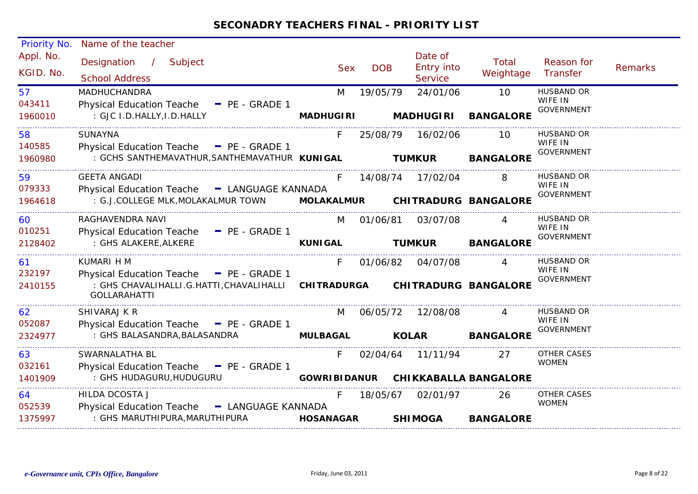| <b>Priority No.</b>    | Name of the teacher                                                                                                                         |                     |               |                                         |                              |                              |                |
|------------------------|---------------------------------------------------------------------------------------------------------------------------------------------|---------------------|---------------|-----------------------------------------|------------------------------|------------------------------|----------------|
| Appl. No.<br>KGID. No. | Designation /<br>Subject<br><b>School Address</b>                                                                                           | <b>Sex</b>          | <b>DOB</b>    | Date of<br><b>Entry into</b><br>Service | Total<br>Weightage           | Reason for<br>Transfer       | <b>Remarks</b> |
| 57                     | <b>MADHUCHANDRA</b>                                                                                                                         | M                   | 19/05/79      | 24/01/06                                | 10                           | <b>HUSBAND OR</b><br>WIFE IN |                |
| 043411<br>1960010      | Physical Education Teache - PE - GRADE 1<br>: GJC I.D.HALLY, I.D.HALLY                                                                      | <b>MADHUGIRI</b>    |               | <b>MADHUGIRI</b>                        | <b>BANGALORE</b>             | <b>GOVERNMENT</b>            |                |
| 58<br>140585           | <b>SUNAYNA</b>                                                                                                                              | F.                  | 25/08/79      | 16/02/06                                | 10                           | <b>HUSBAND OR</b><br>WIFE IN |                |
| 1960980                | Physical Education Teache - PE - GRADE 1<br>: GCHS SANTHEMAVATHUR, SANTHEMAVATHUR KUNIGAL                                                   |                     | <b>TUMKUR</b> |                                         | <b>BANGALORE</b>             | <b>GOVERNMENT</b>            |                |
| 59<br>079333           | <b>GEETA ANGADI</b><br>Physical Education Teache - LANGUAGE KANNADA                                                                         | F.                  |               | 14/08/74 17/02/04                       |                              | HUSBAND OR<br>WIFE IN        |                |
| 1964618                | : G.J.COLLEGE MLK, MOLAKALMUR TOWN                                                                                                          |                     |               | MOLAKALMUR CHITRADURG BANGALORE         |                              | <b>GOVERNMENT</b>            |                |
| 60                     | RAGHAVENDRA NAVI                                                                                                                            | M                   | 01/06/81      | 03/07/08                                |                              | HUSBAND OR<br>WIFE IN        |                |
| 010251<br>2128402      | Physical Education Teache - PE - GRADE 1<br>: GHS ALAKERE, ALKERE                                                                           | <b>KUNIGAL</b>      |               | <b>TUMKUR</b>                           | <b>BANGALORE</b>             | <b>GOVERNMENT</b>            |                |
| 61                     | KUMARI H M                                                                                                                                  | F.                  | 01/06/82      | 04/07/08                                |                              | <b>HUSBAND OR</b><br>WIFE IN |                |
| 232197<br>2410155      | Physical Education Teache - PE - GRADE 1<br>: GHS CHAVALIHALLI.G.HATTI,CHAVALIHALLI CHITRADURGA CHITRADURG BANGALORE<br><b>GOLLARAHATTI</b> |                     |               |                                         |                              | <b>GOVERNMENT</b>            |                |
| 62                     | SHIVARAJ K R                                                                                                                                | M                   | 06/05/72      | 12/08/08                                |                              | <b>HUSBAND OR</b><br>WIFE IN |                |
| 052087<br>2324977      | Physical Education Teache $\blacksquare$ PE - GRADE 1<br>: GHS BALASANDRA, BALASANDRA                                                       | <b>MULBAGAL</b>     |               | <b>KOLAR</b>                            | <b>BANGALORE</b>             | GOVERNMENT                   |                |
| 63                     | SWARNALATHA BL                                                                                                                              | F.                  |               | 02/04/64 11/11/94                       | 27                           | <b>OTHER CASES</b>           |                |
| 032161                 | Physical Education Teache - PE - GRADE 1                                                                                                    |                     |               |                                         |                              | <b>WOMEN</b>                 |                |
| 1401909                | : GHS HUDAGURU, HUDUGURU                                                                                                                    | <b>GOWRIBIDANUR</b> |               |                                         | <b>CHIKKABALLA BANGALORE</b> |                              |                |
| 64<br>052539           | HILDA DCOSTA J<br>Physical Education Teache - LANGUAGE KANNADA                                                                              | F.                  | 18/05/67      | 02/01/97                                | 26                           | OTHER CASES<br><b>WOMEN</b>  |                |
| 1375997                | : GHS MARUTHIPURA, MARUTHIPURA                                                                                                              | <b>HOSANAGAR</b>    |               | <b>SHIMOGA</b>                          | <b>BANGALORE</b>             |                              |                |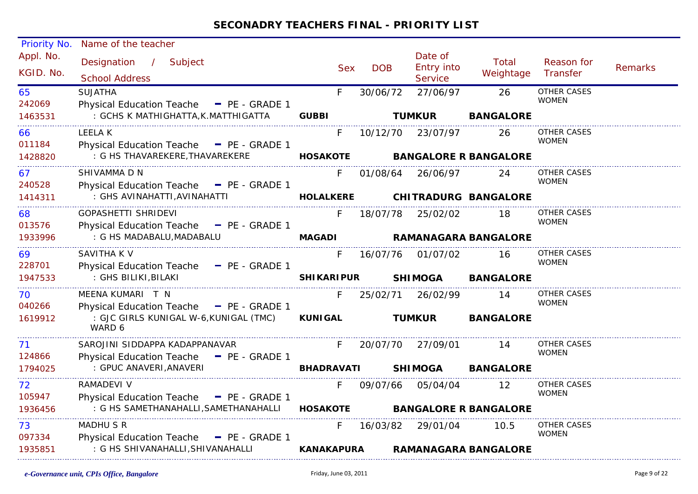| <b>Priority No.</b>    | Name of the teacher                                                               |                   |            |                                  |                              |                                    |                |
|------------------------|-----------------------------------------------------------------------------------|-------------------|------------|----------------------------------|------------------------------|------------------------------------|----------------|
| Appl. No.<br>KGID. No. | Designation / Subject<br><b>School Address</b>                                    | <b>Sex</b>        | <b>DOB</b> | Date of<br>Entry into<br>Service | Total<br>Weightage           | Reason for<br>Transfer             | <b>Remarks</b> |
| 65<br>242069           | <b>SUJATHA</b><br>Physical Education Teache - PE - GRADE 1                        | F.                | 30/06/72   | 27/06/97                         | 26                           | <b>OTHER CASES</b><br><b>WOMEN</b> |                |
| 1463531                | : GCHS K MATHIGHATTA, K.MATTHIGATTA                                               | <b>GUBBI</b>      |            | <b>TUMKUR</b>                    | <b>BANGALORE</b>             |                                    |                |
| 66<br>011184           | <b>LEELAK</b><br>Physical Education Teache - PE - GRADE 1                         | F.                |            | 10/12/70 23/07/97                | 26                           | OTHER CASES<br><b>WOMEN</b>        |                |
| 1428820                | : G HS THAVAREKERE,THAVAREKERE                                                    | <b>HOSAKOTE</b>   |            |                                  | <b>BANGALORE R BANGALORE</b> |                                    |                |
| 67                     | SHIVAMMA D N                                                                      | F.                |            | 01/08/64 26/06/97                | 24                           | OTHER CASES<br><b>WOMEN</b>        |                |
| 240528<br>1414311      | Physical Education Teache - PE - GRADE 1<br>: GHS AVINAHATTI, AVINAHATTI          | <b>HOLALKERE</b>  |            |                                  | <b>CHITRADURG BANGALORE</b>  |                                    |                |
| 68<br>013576           | GOPASHETTI SHRIDEVI<br>Physical Education Teache - PE - GRADE 1                   | F.                | 18/07/78   | 25/02/02                         | 18                           | <b>OTHER CASES</b><br><b>WOMEN</b> |                |
| 1933996                | : G HS MADABALU, MADABALU                                                         | <b>MAGADI</b>     |            |                                  | <b>RAMANAGARA BANGALORE</b>  |                                    |                |
| 69<br>228701           | SAVITHA K V<br>Physical Education Teache - PE - GRADE 1                           | F.                |            | 16/07/76 01/07/02                | 16                           | <b>OTHER CASES</b><br><b>WOMEN</b> |                |
| 1947533                | : GHS BILIKI,BILAKI                                                               | <b>SHIKARIPUR</b> |            | <b>SHIMOGA</b>                   | <b>BANGALORE</b>             |                                    |                |
| 70<br>040266           | MEENA KUMARI T N<br>Physical Education Teache - PE - GRADE 1                      | F.                |            | 25/02/71 26/02/99                | 14                           | OTHER CASES<br><b>WOMEN</b>        |                |
| 1619912                | : GJC GIRLS KUNIGAL W-6,KUNIGAL (TMC)<br>WARD 6                                   | <b>KUNIGAL</b>    |            | <b>TUMKUR</b>                    | <b>BANGALORE</b>             |                                    |                |
| 71<br>124866           | SAROJINI SIDDAPPA KADAPPANAVAR<br>Physical Education Teache - PE - GRADE 1        | $F =$             |            | 20/07/70 27/09/01                | 14                           | <b>OTHER CASES</b><br><b>WOMEN</b> |                |
| 1794025                | : GPUC ANAVERI, ANAVERI                                                           | <b>BHADRAVATI</b> |            | <b>SHIMOGA</b>                   | <b>BANGALORE</b>             |                                    |                |
| 72                     | RAMADEVI V                                                                        | F.                | 09/07/66   | 05/04/04                         | -12                          | <b>OTHER CASES</b><br><b>WOMEN</b> |                |
| 105947<br>1936456      | Physical Education Teache - PE - GRADE 1<br>: G HS SAMETHANAHALLI, SAMETHANAHALLI | <b>HOSAKOTE</b>   |            |                                  | <b>BANGALORE R BANGALORE</b> |                                    |                |
| 73                     | <b>MADHU S R</b>                                                                  | F.                |            | 16/03/82 29/01/04                | 10.5                         | OTHER CASES<br><b>WOMEN</b>        |                |
| 097334<br>1935851      | Physical Education Teache - PE - GRADE 1<br>: G HS SHIVANAHALLI, SHIVANAHALLI     | <b>KANAKAPURA</b> |            |                                  | <b>RAMANAGARA BANGALORE</b>  |                                    |                |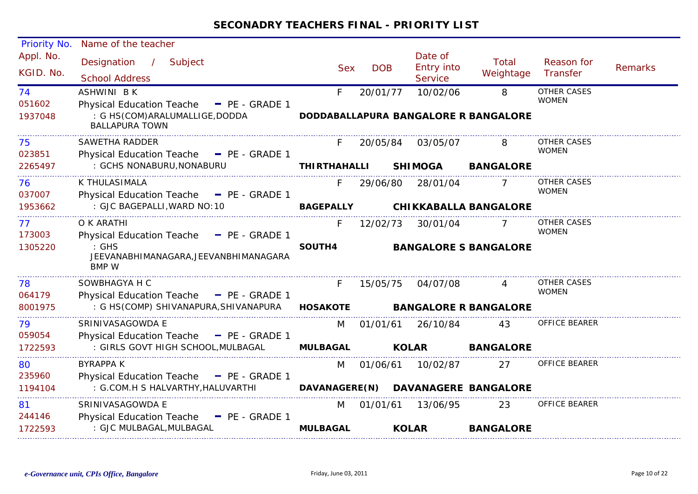| <b>Priority No.</b>    | Name of the teacher                                                           |                     |            |                                         |                    |                                    |                |
|------------------------|-------------------------------------------------------------------------------|---------------------|------------|-----------------------------------------|--------------------|------------------------------------|----------------|
| Appl. No.<br>KGID. No. | Designation /<br>Subject<br><b>School Address</b>                             | <b>Sex</b>          | <b>DOB</b> | Date of<br><b>Entry into</b><br>Service | Total<br>Weightage | Reason for<br>Transfer             | <b>Remarks</b> |
| 74<br>051602           | ASHWINI BK<br>Physical Education Teache - PE - GRADE 1                        | F.                  | 20/01/77   | 10/02/06                                | 8                  | <b>OTHER CASES</b><br><b>WOMEN</b> |                |
| 1937048                | : G HS(COM)ARALUMALLIGE, DODDA<br><b>BALLAPURA TOWN</b>                       |                     |            | DODDABALLAPURA BANGALORE R BANGALORE    |                    |                                    |                |
| 75<br>023851           | SAWETHA RADDER<br>Physical Education Teache - PE - GRADE 1                    |                     | 20/05/84   | 03/05/07                                |                    | OTHER CASES<br><b>WOMEN</b>        |                |
| 2265497                | : GCHS NONABURU, NONABURU                                                     | <b>THIRTHAHALLI</b> |            | <b>SHIMOGA</b>                          | <b>BANGALORE</b>   |                                    |                |
| 76<br>037007           | K THULASIMALA<br>Physical Education Teache - PE - GRADE 1                     |                     | 29/06/80   | 28/01/04                                |                    | <b>OTHER CASES</b><br><b>WOMEN</b> |                |
| 1953662                | : GJC BAGEPALLI, WARD NO: 10                                                  | <b>BAGEPALLY</b>    |            | <b>CHIKKABALLA BANGALORE</b>            |                    |                                    |                |
| 77<br>173003           | O K ARATHI<br>Physical Education Teache - PE - GRADE 1                        | F.                  | 12/02/73   | 30/01/04                                |                    | OTHER CASES<br><b>WOMEN</b>        |                |
| 1305220                | : GHS<br>JEEVANABHIMANAGARA, JEEVANBHIMANAGARA<br>BMP W                       | SOUTH4              |            | <b>BANGALORE S BANGALORE</b>            |                    |                                    |                |
| 78<br>064179           | SOWBHAGYA H C<br>Physical Education Teache - PE - GRADE 1                     | F.                  | 15/05/75   | 04/07/08                                | 4                  | OTHER CASES<br><b>WOMEN</b>        |                |
| 8001975                | : G HS(COMP) SHIVANAPURA, SHIVANAPURA                                         | <b>HOSAKOTE</b>     |            | <b>BANGALORE R BANGALORE</b>            |                    |                                    |                |
| 79<br>059054           | SRINIVASAGOWDA E<br>Physical Education Teache - PE - GRADE 1                  | M                   | 01/01/61   | 26/10/84                                | 43                 | <b>OFFICE BEARER</b>               |                |
| 1722593                | : GIRLS GOVT HIGH SCHOOL, MULBAGAL                                            | <b>MULBAGAL</b>     |            | <b>KOLAR</b>                            | <b>BANGALORE</b>   |                                    |                |
| 80                     | <b>BYRAPPA K</b>                                                              | M                   | 01/06/61   | 10/02/87                                | 27                 | OFFICE BEARER                      |                |
| 235960<br>1194104      | Physical Education Teache - PE - GRADE 1<br>: G.COM.H S HALVARTHY, HALUVARTHI |                     |            | DAVANAGERE(N) DAVANAGERE BANGALORE      |                    |                                    |                |
| 81<br>244146           | SRINIVASAGOWDA E<br>Physical Education Teache - PE - GRADE 1                  | M                   | 01/01/61   | 13/06/95                                | 23                 | <b>OFFICE BEARER</b>               |                |
| 1722593                | : GJC MULBAGAL, MULBAGAL                                                      | <b>MULBAGAL</b>     |            | <b>KOLAR</b>                            | <b>BANGALORE</b>   |                                    |                |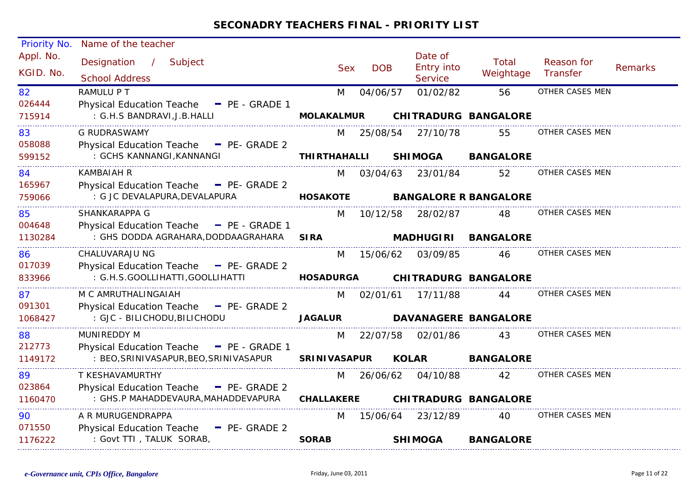| Priority No.           | Name of the teacher                               |                     |            |              |                                                |                              |                        |                |
|------------------------|---------------------------------------------------|---------------------|------------|--------------|------------------------------------------------|------------------------------|------------------------|----------------|
| Appl. No.<br>KGID. No. | Designation /<br>Subject<br><b>School Address</b> | <b>Sex</b>          | <b>DOB</b> |              | Date of<br><b>Entry into</b><br><b>Service</b> | Total<br>Weightage           | Reason for<br>Transfer | <b>Remarks</b> |
| 82                     | RAMULU P T                                        | M                   | 04/06/57   |              | 01/02/82                                       | 56                           | OTHER CASES MEN        |                |
| 026444                 | Physical Education Teache - PE - GRADE 1          |                     |            |              |                                                |                              |                        |                |
| 715914                 | : G.H.S BANDRAVI, J.B. HALLI                      | <b>MOLAKALMUR</b>   |            |              |                                                | <b>CHITRADURG BANGALORE</b>  |                        |                |
| 83                     | G RUDRASWAMY                                      | M                   | 25/08/54   |              | 27/10/78                                       | 55                           | OTHER CASES MEN        |                |
| 058088                 | Physical Education Teache - PE- GRADE 2           |                     |            |              |                                                |                              |                        |                |
| 599152                 | : GCHS KANNANGI, KANNANGI                         | <b>THIRTHAHALLI</b> |            |              | <b>SHIMOGA</b>                                 | <b>BANGALORE</b>             |                        |                |
| 84                     | KAMBAIAH R                                        | M                   | 03/04/63   |              | 23/01/84                                       | 52                           | OTHER CASES MEN        |                |
| 165967                 | Physical Education Teache - PE- GRADE 2           |                     |            |              |                                                |                              |                        |                |
| 759066                 | : G JC DEVALAPURA, DEVALAPURA                     | <b>HOSAKOTE</b>     |            |              |                                                | <b>BANGALORE R BANGALORE</b> |                        |                |
| 85                     | SHANKARAPPA G                                     | M                   | 10/12/58   |              | 28/02/87                                       | 48                           | OTHER CASES MEN        |                |
| 004648                 | Physical Education Teache - PE - GRADE 1          |                     |            |              |                                                |                              |                        |                |
| 1130284                | : GHS DODDA AGRAHARA, DODDAAGRAHARA               | <b>SIRA</b>         |            |              | <b>MADHUGIRI</b>                               | <b>BANGALORE</b>             |                        |                |
| 86                     | CHALUVARAJU NG                                    | M                   | 15/06/62   |              | 03/09/85                                       | 46                           | OTHER CASES MEN        |                |
| 017039                 | Physical Education Teache - PE- GRADE 2           |                     |            |              |                                                |                              |                        |                |
| 833966                 | : G.H.S.GOOLLIHATTI, GOOLLIHATTI                  | <b>HOSADURGA</b>    |            |              |                                                | <b>CHITRADURG BANGALORE</b>  |                        |                |
| 87                     | M C AMRUTHALINGAIAH                               | M                   |            |              | 02/01/61 17/11/88                              | 44                           | OTHER CASES MEN        |                |
| 091301                 | Physical Education Teache - PE- GRADE 2           |                     |            |              |                                                |                              |                        |                |
| 1068427                | : GJC - BILICHODU, BILICHODU                      | <b>JAGALUR</b>      |            |              |                                                | <b>DAVANAGERE BANGALORE</b>  |                        |                |
| 88                     | MUNIREDDY M                                       | M                   | 22/07/58   |              | 02/01/86                                       | 43                           | OTHER CASES MEN        |                |
| 212773                 | Physical Education Teache - PE - GRADE 1          |                     |            |              |                                                |                              |                        |                |
| 1149172                | : BEO, SRINIVASAPUR, BEO, SRINIVASAPUR            | <b>SRINIVASAPUR</b> |            | <b>KOLAR</b> |                                                | <b>BANGALORE</b>             |                        |                |
| 89                     | T KESHAVAMURTHY                                   | M                   | 26/06/62   |              | 04/10/88                                       | 42                           | OTHER CASES MEN        |                |
| 023864                 | Physical Education Teache - PE- GRADE 2           |                     |            |              |                                                |                              |                        |                |
| 1160470                | : GHS.P MAHADDEVAURA, MAHADDEVAPURA               | <b>CHALLAKERE</b>   |            |              |                                                | <b>CHITRADURG BANGALORE</b>  |                        |                |
| 90                     | A R MURUGENDRAPPA                                 | M                   | 15/06/64   |              | 23/12/89                                       | 40                           | OTHER CASES MEN        |                |
| 071550                 | Physical Education Teache - PE- GRADE 2           |                     |            |              |                                                |                              |                        |                |
| 1176222                | : Govt TTI, TALUK SORAB,                          | <b>SORAB</b>        |            |              | <b>SHIMOGA</b>                                 | <b>BANGALORE</b>             |                        |                |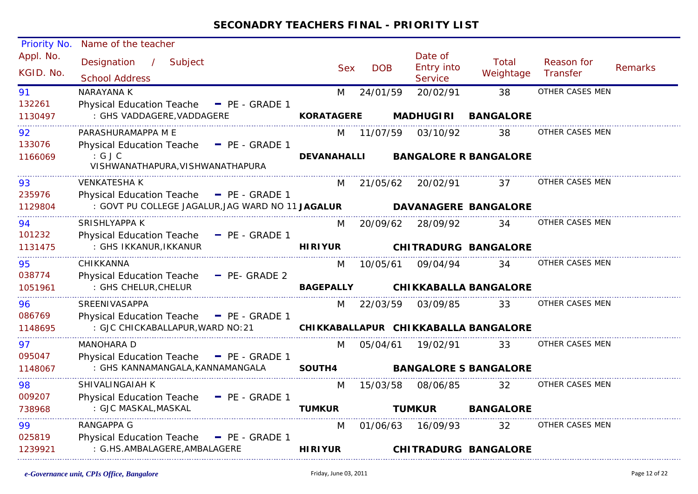| Priority No.           | Name of the teacher                                                                   |                    |            |                                         |                                      |                        |                |
|------------------------|---------------------------------------------------------------------------------------|--------------------|------------|-----------------------------------------|--------------------------------------|------------------------|----------------|
| Appl. No.<br>KGID. No. | Designation<br>$\frac{1}{2}$<br>Subject<br><b>School Address</b>                      | <b>Sex</b>         | <b>DOB</b> | Date of<br><b>Entry into</b><br>Service | Total<br>Weightage                   | Reason for<br>Transfer | <b>Remarks</b> |
| 91                     | NARAYANA K                                                                            | M                  | 24/01/59   | 20/02/91                                | 38                                   | OTHER CASES MEN        |                |
| 132261<br>1130497      | <b>Physical Education Teache</b><br>$-$ PE - GRADE 1<br>: GHS VADDAGERE, VADDAGERE    | <b>KORATAGERE</b>  |            | <b>MADHUGIRI</b>                        | <b>BANGALORE</b>                     |                        |                |
|                        |                                                                                       |                    |            |                                         |                                      |                        |                |
| 92                     | PARASHURAMAPPA M E                                                                    | M                  | 11/07/59   | 03/10/92                                | 38                                   | OTHER CASES MEN        |                |
| 133076<br>1166069      | Physical Education Teache - PE - GRADE 1<br>: GJC<br>VISHWANATHAPURA, VISHWANATHAPURA | <b>DEVANAHALLI</b> |            |                                         | <b>BANGALORE R BANGALORE</b>         |                        |                |
| 93                     | <b>VENKATESHA K</b>                                                                   | M                  | 21/05/62   | 20/02/91                                | 37                                   | OTHER CASES MEN        |                |
| 235976                 | Physical Education Teache - PE - GRADE 1                                              |                    |            |                                         |                                      |                        |                |
| 1129804                | : GOVT PU COLLEGE JAGALUR, JAG WARD NO 11 JAGALUR                                     |                    |            |                                         | <b>DAVANAGERE BANGALORE</b>          |                        |                |
| 94                     | SRISHLYAPPA K                                                                         | M                  | 20/09/62   | 28/09/92                                | 34                                   | OTHER CASES MEN        |                |
| 101232                 | <b>Physical Education Teache</b><br>$P_{E}$ - GRADE 1                                 |                    |            |                                         |                                      |                        |                |
| 1131475                | : GHS IKKANUR, IKKANUR                                                                | <b>HIRIYUR</b>     |            |                                         | <b>CHITRADURG BANGALORE</b>          |                        |                |
| 95                     | CHIKKANNA                                                                             | M                  | 10/05/61   | 09/04/94                                | 34                                   | OTHER CASES MEN        |                |
| 038774                 | Physical Education Teache - PE- GRADE 2                                               |                    |            |                                         |                                      |                        |                |
| 1051961                | : GHS CHELUR, CHELUR                                                                  | <b>BAGEPALLY</b>   |            |                                         | <b>CHIKKABALLA BANGALORE</b>         |                        |                |
| 96                     | SREENIVASAPPA                                                                         | M                  | 22/03/59   | 03/09/85                                | 33                                   | OTHER CASES MEN        |                |
| 086769                 | Physical Education Teache - PE - GRADE 1                                              |                    |            |                                         |                                      |                        |                |
| 1148695                | : GJC CHICKABALLAPUR, WARD NO: 21                                                     |                    |            |                                         | CHIKKABALLAPUR CHIKKABALLA BANGALORE |                        |                |
| 97                     | MANOHARA D                                                                            | M                  | 05/04/61   | 19/02/91                                | 33                                   | OTHER CASES MEN        |                |
| 095047                 | Physical Education Teache - PE - GRADE 1                                              |                    |            |                                         |                                      |                        |                |
| 1148067                | : GHS KANNAMANGALA, KANNAMANGALA                                                      | SOUTH4             |            |                                         | <b>BANGALORE S BANGALORE</b>         |                        |                |
| 98                     | SHIVALINGAIAH K                                                                       | M                  | 15/03/58   | 08/06/85                                | 32                                   | OTHER CASES MEN        |                |
| 009207                 | Physical Education Teache - PE - GRADE 1                                              |                    |            |                                         |                                      |                        |                |
| 738968                 | : GJC MASKAL, MASKAL                                                                  | <b>TUMKUR</b>      |            | <b>TUMKUR</b>                           | <b>BANGALORE</b>                     |                        |                |
| 99                     | <b>RANGAPPA G</b>                                                                     | M                  | 01/06/63   | 16/09/93                                | 32                                   | OTHER CASES MEN        |                |
| 025819                 | Physical Education Teache - PE - GRADE 1                                              |                    |            |                                         |                                      |                        |                |
| 1239921                | : G.HS.AMBALAGERE, AMBALAGERE                                                         | <b>HIRIYUR</b>     |            |                                         | <b>CHITRADURG BANGALORE</b>          |                        |                |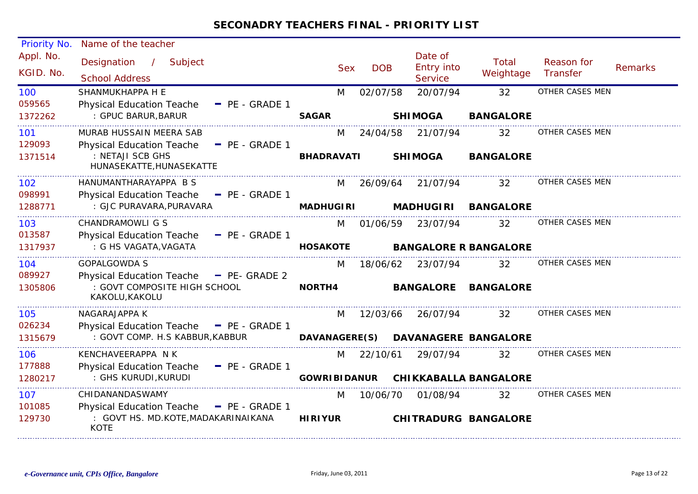| Priority No.           | Name of the teacher                                                                                   |                     |            |                                         |                              |                               |                |
|------------------------|-------------------------------------------------------------------------------------------------------|---------------------|------------|-----------------------------------------|------------------------------|-------------------------------|----------------|
| Appl. No.<br>KGID. No. | Designation<br>$\overline{1}$<br>Subject<br><b>School Address</b>                                     | <b>Sex</b>          | <b>DOB</b> | Date of<br><b>Entry into</b><br>Service | Total<br>Weightage           | Reason for<br><b>Transfer</b> | <b>Remarks</b> |
| 100                    | SHANMUKHAPPA H E                                                                                      | M                   | 02/07/58   | 20/07/94                                | 32                           | OTHER CASES MEN               |                |
| 059565<br>1372262      | <b>Physical Education Teache</b><br>- PE - GRADE 1<br>: GPUC BARUR, BARUR                             | <b>SAGAR</b>        |            | <b>SHIMOGA</b>                          | <b>BANGALORE</b>             |                               |                |
| 101                    | MURAB HUSSAIN MEERA SAB                                                                               | M                   | 24/04/58   | 21/07/94                                | 32                           | OTHER CASES MEN               |                |
| 129093<br>1371514      | <b>Physical Education Teache</b><br>$-$ PE - GRADE 1<br>: NETAJI SCB GHS<br>HUNASEKATTE, HUNASEKATTE  | <b>BHADRAVATI</b>   |            | <b>SHIMOGA</b>                          | <b>BANGALORE</b>             |                               |                |
| 102<br>098991          | HANUMANTHARAYAPPA B S<br><b>Physical Education Teache</b><br>$-$ PE - GRADE 1                         | M                   | 26/09/64   | 21/07/94                                | 32                           | OTHER CASES MEN               |                |
| 1288771                | : GJC PURAVARA, PURAVARA                                                                              | <b>MADHUGIRI</b>    |            | <b>MADHUGIRI</b>                        | <b>BANGALORE</b>             |                               |                |
| 103                    | <b>CHANDRAMOWLI G S</b>                                                                               | M                   | 01/06/59   | 23/07/94                                | 32                           | OTHER CASES MEN               |                |
| 013587<br>1317937      | <b>Physical Education Teache</b><br>$\blacksquare$ PE - GRADE 1<br>: G HS VAGATA, VAGATA              | <b>HOSAKOTE</b>     |            |                                         | <b>BANGALORE R BANGALORE</b> |                               |                |
| 104                    | <b>GOPALGOWDA S</b>                                                                                   | M                   | 18/06/62   | 23/07/94                                | 32                           | OTHER CASES MEN               |                |
| 089927<br>1305806      | <b>Physical Education Teache</b><br>$-$ PE- GRADE 2<br>: GOVT COMPOSITE HIGH SCHOOL<br>KAKOLU, KAKOLU | NORTH4              |            | <b>BANGALORE</b>                        | <b>BANGALORE</b>             |                               |                |
| 105                    | NAGARAJAPPA K                                                                                         | M                   | 12/03/66   | 26/07/94                                | 32                           | OTHER CASES MEN               |                |
| 026234<br>1315679      | Physical Education Teache - PE - GRADE 1<br>: GOVT COMP. H.S KABBUR, KABBUR                           | DAVANAGERE(S)       |            |                                         | <b>DAVANAGERE BANGALORE</b>  |                               |                |
| 106                    | KENCHAVEERAPPA N K                                                                                    | M                   | 22/10/61   | 29/07/94                                | 32                           | OTHER CASES MEN               |                |
| 177888<br>1280217      | $P_{E}$ - GRADE 1<br><b>Physical Education Teache</b><br>: GHS KURUDI, KURUDI                         | <b>GOWRIBIDANUR</b> |            |                                         | <b>CHIKKABALLA BANGALORE</b> |                               |                |
| 107                    | CHIDANANDASWAMY                                                                                       | M                   | 10/06/70   | 01/08/94                                | 32                           | OTHER CASES MEN               |                |
| 101085<br>129730       | Physical Education Teache - PE - GRADE 1<br>: GOVT HS. MD.KOTE, MADAKARINAIKANA<br><b>KOTE</b>        | <b>HIRIYUR</b>      |            |                                         | <b>CHITRADURG BANGALORE</b>  |                               |                |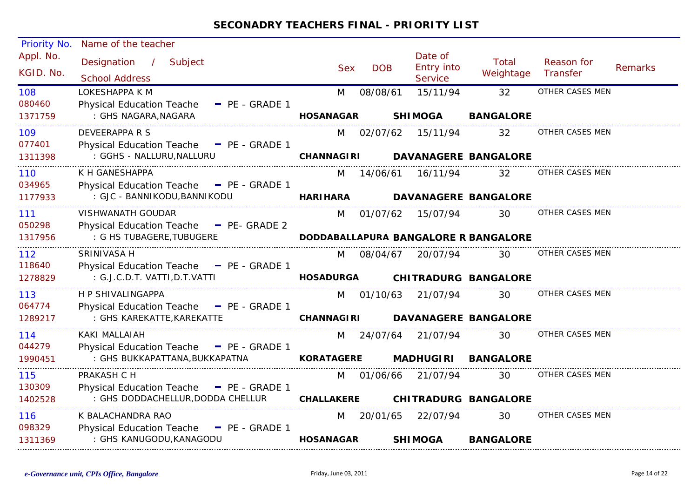| Priority No.           | Name of the teacher                                                           |                   |            |                                                |                                      |                        |                |
|------------------------|-------------------------------------------------------------------------------|-------------------|------------|------------------------------------------------|--------------------------------------|------------------------|----------------|
| Appl. No.<br>KGID. No. | Designation /<br>Subject<br><b>School Address</b>                             | <b>Sex</b>        | <b>DOB</b> | Date of<br><b>Entry into</b><br><b>Service</b> | Total<br>Weightage                   | Reason for<br>Transfer | <b>Remarks</b> |
| 108<br>080460          | LOKESHAPPA K M<br><b>Physical Education Teache</b><br>$P_{E}$ - GRADE 1       | M                 | 08/08/61   | 15/11/94                                       | 32                                   | OTHER CASES MEN        |                |
| 1371759                | : GHS NAGARA, NAGARA                                                          | <b>HOSANAGAR</b>  |            | <b>SHIMOGA</b>                                 | <b>BANGALORE</b>                     |                        |                |
| 109<br>077401          | DEVEERAPPA R S<br>Physical Education Teache - PE - GRADE 1                    | M                 |            | 02/07/62 15/11/94                              | 32                                   | OTHER CASES MEN        |                |
| 1311398                | : GGHS - NALLURU, NALLURU                                                     | <b>CHANNAGIRI</b> |            |                                                | <b>DAVANAGERE BANGALORE</b>          |                        |                |
| 110<br>034965          | K H GANESHAPPA<br>Physical Education Teache - PE - GRADE 1                    | M                 | 14/06/61   | 16/11/94                                       | 32                                   | OTHER CASES MEN        |                |
| 1177933                | : GJC - BANNIKODU, BANNIKODU                                                  | <b>HARIHARA</b>   |            |                                                | <b>DAVANAGERE BANGALORE</b>          |                        |                |
| 111<br>050298          | VISHWANATH GOUDAR<br>Physical Education Teache - PE- GRADE 2                  | M                 | 01/07/62   | 15/07/94                                       | 30                                   | OTHER CASES MEN        |                |
| 1317956                | : G HS TUBAGERE, TUBUGERE                                                     |                   |            |                                                | DODDABALLAPURA BANGALORE R BANGALORE |                        |                |
| 112<br>118640          | SRINIVASA H                                                                   | M                 | 08/04/67   | 20/07/94                                       | 30                                   | OTHER CASES MEN        |                |
| 1278829                | Physical Education Teache - PE - GRADE 1<br>: G.J.C.D.T. VATTI, D.T. VATTI    | <b>HOSADURGA</b>  |            |                                                | <b>CHITRADURG BANGALORE</b>          |                        |                |
| 113<br>064774          | H P SHIVALINGAPPA<br>Physical Education Teache - PE - GRADE 1                 | M                 |            | 01/10/63 21/07/94                              | 30                                   | OTHER CASES MEN        |                |
| 1289217                | : GHS KAREKATTE, KAREKATTE                                                    | <b>CHANNAGIRI</b> |            |                                                | <b>DAVANAGERE BANGALORE</b>          |                        |                |
| 114<br>044279          | KAKI MALLAIAH                                                                 | M                 |            | 24/07/64 21/07/94                              | 30.                                  | OTHER CASES MEN        |                |
| 1990451                | Physical Education Teache - PE - GRADE 1<br>: GHS BUKKAPATTANA, BUKKAPATNA    | <b>KORATAGERE</b> |            | <b>MADHUGIRI</b>                               | <b>BANGALORE</b>                     |                        |                |
| 115                    | PRAKASH C H                                                                   | M                 | 01/06/66   | 21/07/94                                       | 30                                   | OTHER CASES MEN        |                |
| 130309<br>1402528      | Physical Education Teache - PE - GRADE 1<br>: GHS DODDACHELLUR, DODDA CHELLUR | <b>CHALLAKERE</b> |            |                                                | <b>CHITRADURG BANGALORE</b>          |                        |                |
| 116<br>098329          | K BALACHANDRA RAO<br>Physical Education Teache - PE - GRADE 1                 | M                 | 20/01/65   | 22/07/94                                       | 30                                   | OTHER CASES MEN        |                |
| 1311369                | : GHS KANUGODU, KANAGODU                                                      | <b>HOSANAGAR</b>  |            | <b>SHIMOGA</b>                                 | <b>BANGALORE</b>                     |                        |                |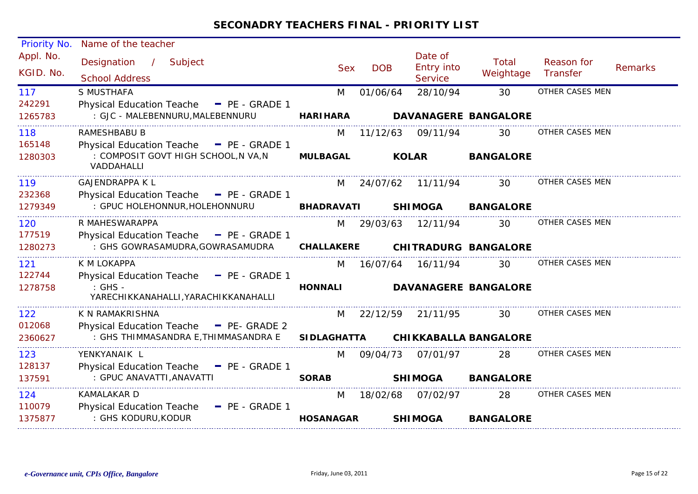| Priority No.             | Name of the teacher                                                                                        |                         |            |                                  |                                    |                        |                |
|--------------------------|------------------------------------------------------------------------------------------------------------|-------------------------|------------|----------------------------------|------------------------------------|------------------------|----------------|
| Appl. No.<br>KGID. No.   | Designation<br>Subject<br>$\sqrt{2}$<br><b>School Address</b>                                              | <b>Sex</b>              | <b>DOB</b> | Date of<br>Entry into<br>Service | Total<br>Weightage                 | Reason for<br>Transfer | <b>Remarks</b> |
| 117                      | S MUSTHAFA                                                                                                 | M                       | 01/06/64   | 28/10/94                         | 30                                 | OTHER CASES MEN        |                |
| 242291<br>1265783        | <b>Physical Education Teache</b><br>$P_{E}$ - GRADE 1<br>: GJC - MALEBENNURU, MALEBENNURU                  | <b>HARIHARA</b>         |            |                                  | <b>DAVANAGERE BANGALORE</b>        |                        |                |
| 118                      | <b>RAMESHBABU B</b>                                                                                        | M                       | 11/12/63   | 09/11/94                         | 30                                 | OTHER CASES MEN        |                |
| 165148<br>1280303        | Physical Education Teache - PE - GRADE 1<br>: COMPOSIT GOVT HIGH SCHOOL, N VA, N<br>VADDAHALLI             | <b>MULBAGAL</b>         |            | <b>KOLAR</b>                     | <b>BANGALORE</b>                   |                        |                |
| 119                      | <b>GAJENDRAPPA K L</b>                                                                                     | M                       | 24/07/62   | 11/11/94                         | 30                                 | OTHER CASES MEN        |                |
| 232368<br>1279349        | Physical Education Teache - PE - GRADE 1<br>: GPUC HOLEHONNUR, HOLEHONNURU                                 | <b>BHADRAVATI</b>       |            | <b>SHIMOGA</b>                   | <b>BANGALORE</b>                   |                        |                |
| 120<br>177519<br>1280273 | R MAHESWARAPPA<br>Physical Education Teache - PE - GRADE 1<br>: GHS GOWRASAMUDRA, GOWRASAMUDRA             | M<br><b>CHALLAKERE</b>  | 29/03/63   | 12/11/94                         | 30<br><b>CHITRADURG BANGALORE</b>  | OTHER CASES MEN        |                |
| 121<br>122744<br>1278758 | K M LOKAPPA<br>Physical Education Teache - PE - GRADE 1<br>: GHS -<br>YARECHIKKANAHALLI, YARACHIKKANAHALLI | M<br><b>HONNALI</b>     | 16/07/64   | 16/11/94                         | 30<br><b>DAVANAGERE BANGALORE</b>  | OTHER CASES MEN        |                |
| 122<br>012068<br>2360627 | K N RAMAKRISHNA<br>Physical Education Teache - PE- GRADE 2<br>: GHS THIMMASANDRA E, THIMMASANDRA E         | M<br><b>SIDLAGHATTA</b> | 22/12/59   | 21/11/95                         | 30<br><b>CHIKKABALLA BANGALORE</b> | OTHER CASES MEN        |                |
| 123<br>128137<br>137591  | YENKYANAIK L<br><b>Physical Education Teache</b><br>$P_{E}$ - GRADE 1<br>: GPUC ANAVATTI, ANAVATTI         | M<br><b>SORAB</b>       | 09/04/73   | 07/01/97<br><b>SHIMOGA</b>       | 28<br><b>BANGALORE</b>             | OTHER CASES MEN        |                |
| 124<br>110079<br>1375877 | <b>KAMALAKAR D</b><br><b>Physical Education Teache</b><br>- PE - GRADE 1<br>: GHS KODURU, KODUR            | M<br><b>HOSANAGAR</b>   | 18/02/68   | 07/02/97<br><b>SHIMOGA</b>       | 28<br><b>BANGALORE</b>             | OTHER CASES MEN        |                |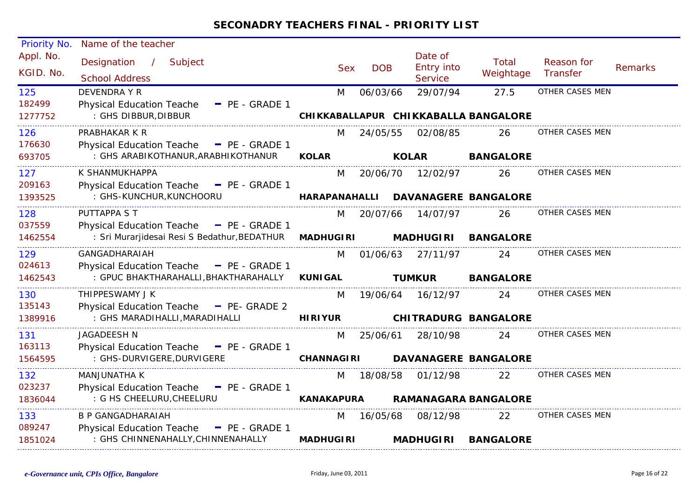| Priority No.           | Name of the teacher                                                                              |                      |            |                                                |                                      |                        |                |
|------------------------|--------------------------------------------------------------------------------------------------|----------------------|------------|------------------------------------------------|--------------------------------------|------------------------|----------------|
| Appl. No.<br>KGID. No. | Designation<br>$\mathcal{L}$<br>Subject<br><b>School Address</b>                                 | <b>Sex</b>           | <b>DOB</b> | Date of<br><b>Entry into</b><br><b>Service</b> | Total<br>Weightage                   | Reason for<br>Transfer | <b>Remarks</b> |
| 125                    | <b>DEVENDRA Y R</b>                                                                              | M                    | 06/03/66   | 29/07/94                                       | 27.5                                 | OTHER CASES MEN        |                |
| 182499<br>1277752      | <b>Physical Education Teache</b><br>- PE - GRADE 1<br>: GHS DIBBUR, DIBBUR                       |                      |            |                                                | CHIKKABALLAPUR CHIKKABALLA BANGALORE |                        |                |
| 126                    | PRABHAKAR K R                                                                                    | M                    | 24/05/55   | 02/08/85                                       | 26                                   | OTHER CASES MEN        |                |
| 176630<br>693705       | Physical Education Teache - PE - GRADE 1<br>: GHS ARABIKOTHANUR, ARABHIKOTHANUR                  | <b>KOLAR</b>         |            | <b>KOLAR</b>                                   | <b>BANGALORE</b>                     |                        |                |
| 127                    | K SHANMUKHAPPA                                                                                   | M                    | 20/06/70   | 12/02/97                                       | 26                                   | OTHER CASES MEN        |                |
| 209163<br>1393525      | Physical Education Teache - PE - GRADE 1<br>: GHS-KUNCHUR, KUNCHOORU                             | <b>HARAPANAHALLI</b> |            |                                                | <b>DAVANAGERE BANGALORE</b>          |                        |                |
| 128                    | PUTTAPPA S T                                                                                     | M                    | 20/07/66   | 14/07/97                                       | 26                                   | OTHER CASES MEN        |                |
| 037559<br>1462554      | Physical Education Teache - PE - GRADE 1<br>: Sri Murarjidesai Resi S Bedathur, BEDATHUR         | <b>MADHUGIRI</b>     |            | <b>MADHUGIRI</b>                               | <b>BANGALORE</b>                     |                        |                |
| 129                    | GANGADHARAIAH                                                                                    | M                    | 01/06/63   | 27/11/97                                       | 24                                   | OTHER CASES MEN        |                |
| 024613<br>1462543      | Physical Education Teache - PE - GRADE 1<br>: GPUC BHAKTHARAHALLI, BHAKTHARAHALLY                | <b>KUNIGAL</b>       |            | <b>TUMKUR</b>                                  | <b>BANGALORE</b>                     |                        |                |
| 130                    | THIPPESWAMY J K                                                                                  | M                    | 19/06/64   | 16/12/97                                       | 24.                                  | OTHER CASES MEN        |                |
| 135143<br>1389916      | <b>Physical Education Teache</b><br>$\blacksquare$ PE- GRADE 2<br>: GHS MARADIHALLI, MARADIHALLI | <b>HIRIYUR</b>       |            |                                                | <b>CHITRADURG BANGALORE</b>          |                        |                |
| 131                    | JAGADEESH N                                                                                      | M                    | 25/06/61   | 28/10/98                                       | 24                                   | OTHER CASES MEN        |                |
| 163113<br>1564595      | Physical Education Teache - PE - GRADE 1<br>: GHS-DURVIGERE, DURVIGERE                           | <b>CHANNAGIRI</b>    |            |                                                | <b>DAVANAGERE BANGALORE</b>          |                        |                |
| 132                    | <b>MANJUNATHA K</b>                                                                              | M                    | 18/08/58   | 01/12/98                                       | 22                                   | OTHER CASES MEN        |                |
| 023237<br>1836044      | Physical Education Teache - PE - GRADE 1<br>: G HS CHEELURU, CHEELURU                            | <b>KANAKAPURA</b>    |            |                                                | <b>RAMANAGARA BANGALORE</b>          |                        |                |
| 133                    | B P GANGADHARAIAH                                                                                | M                    | 16/05/68   | 08/12/98                                       | 22                                   | OTHER CASES MEN        |                |
| 089247<br>1851024      | Physical Education Teache - PE - GRADE 1<br>: GHS CHINNENAHALLY, CHINNENAHALLY                   | <b>MADHUGIRI</b>     |            | <b>MADHUGIRI</b>                               | <b>BANGALORE</b>                     |                        |                |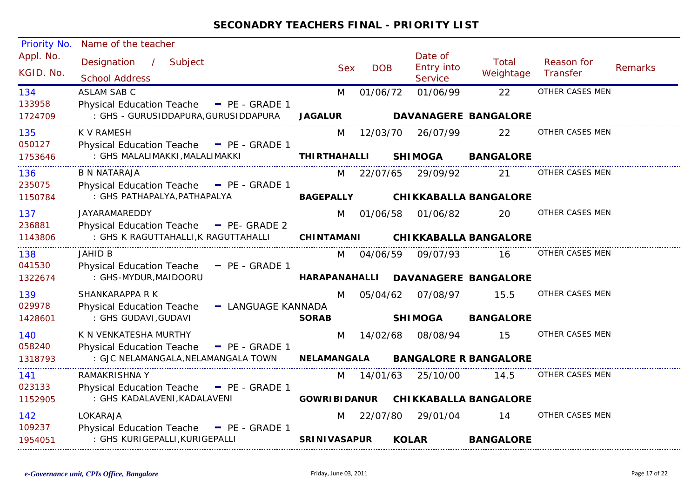| Priority No.           | Name of the teacher                                              |                      |            |              |                                         |                              |                               |                |
|------------------------|------------------------------------------------------------------|----------------------|------------|--------------|-----------------------------------------|------------------------------|-------------------------------|----------------|
| Appl. No.<br>KGID. No. | Designation<br>$\frac{1}{2}$<br>Subject<br><b>School Address</b> | <b>Sex</b>           | <b>DOB</b> |              | Date of<br><b>Entry into</b><br>Service | Total<br>Weightage           | Reason for<br><b>Transfer</b> | <b>Remarks</b> |
| 134                    | <b>ASLAM SAB C</b>                                               | M                    | 01/06/72   |              | 01/06/99                                | 22                           | OTHER CASES MEN               |                |
| 133958                 | Physical Education Teache - PE - GRADE 1                         |                      |            |              |                                         |                              |                               |                |
| 1724709                | : GHS - GURUSIDDAPURA, GURUSIDDAPURA                             | <b>JAGALUR</b>       |            |              |                                         | <b>DAVANAGERE BANGALORE</b>  |                               |                |
| 135                    | <b>K V RAMESH</b>                                                | M                    | 12/03/70   |              | 26/07/99                                | 22                           | OTHER CASES MEN               |                |
| 050127                 | Physical Education Teache - PE - GRADE 1                         |                      |            |              |                                         |                              |                               |                |
| 1753646                | : GHS MALALIMAKKI, MALALIMAKKI                                   | <b>THIRTHAHALLI</b>  |            |              | <b>SHIMOGA</b>                          | <b>BANGALORE</b>             |                               |                |
| 136                    | B N NATARAJA                                                     | M                    | 22/07/65   |              | 29/09/92                                | 21                           | OTHER CASES MEN               |                |
| 235075                 | Physical Education Teache - PE - GRADE 1                         |                      |            |              |                                         |                              |                               |                |
| 1150784                | : GHS PATHAPALYA, PATHAPALYA                                     | <b>BAGEPALLY</b>     |            |              |                                         | <b>CHIKKABALLA BANGALORE</b> |                               |                |
| 137                    | JAYARAMAREDDY                                                    | M                    | 01/06/58   |              | 01/06/82                                | 20                           | OTHER CASES MEN               |                |
| 236881                 | Physical Education Teache - PE- GRADE 2                          |                      |            |              |                                         |                              |                               |                |
| 1143806                | : GHS K RAGUTTAHALLI, K RAGUTTAHALLI                             | <b>CHINTAMANI</b>    |            |              |                                         | <b>CHIKKABALLA BANGALORE</b> |                               |                |
| 138                    | JAHID B                                                          | M                    | 04/06/59   |              | 09/07/93                                | 16                           | OTHER CASES MEN               |                |
| 041530                 | <b>Physical Education Teache</b><br>$P = PE - GRADE 1$           |                      |            |              |                                         |                              |                               |                |
| 1322674                | : GHS-MYDUR, MAIDOORU                                            | <b>HARAPANAHALLI</b> |            |              |                                         | <b>DAVANAGERE BANGALORE</b>  |                               |                |
| 139                    | SHANKARAPPA R K                                                  | M                    | 05/04/62   |              | 07/08/97                                | 15.5                         | OTHER CASES MEN               |                |
| 029978                 | <b>Physical Education Teache</b><br>- LANGUAGE KANNADA           |                      |            |              |                                         |                              |                               |                |
| 1428601                | : GHS GUDAVI, GUDAVI                                             | <b>SORAB</b>         |            |              | <b>SHIMOGA</b>                          | <b>BANGALORE</b>             |                               |                |
| 140                    | K N VENKATESHA MURTHY                                            | M                    | 14/02/68   |              | 08/08/94                                | 15                           | OTHER CASES MEN               |                |
| 058240                 | <b>Physical Education Teache</b><br>$P = PE - GRADE 1$           |                      |            |              |                                         |                              |                               |                |
| 1318793                | : GJC NELAMANGALA, NELAMANGALA TOWN                              | <b>NELAMANGALA</b>   |            |              |                                         | <b>BANGALORE R BANGALORE</b> |                               |                |
| 141                    | <b>RAMAKRISHNA Y</b>                                             | M                    | 14/01/63   |              | 25/10/00                                | 14.5                         | OTHER CASES MEN               |                |
| 023133                 | Physical Education Teache - PE - GRADE 1                         |                      |            |              |                                         |                              |                               |                |
| 1152905                | : GHS KADALAVENI, KADALAVENI                                     | <b>GOWRIBIDANUR</b>  |            |              |                                         | <b>CHIKKABALLA BANGALORE</b> |                               |                |
| 142                    | LOKARAJA                                                         | M                    | 22/07/80   |              | 29/01/04                                | 14                           | OTHER CASES MEN               |                |
| 109237                 | <b>Physical Education Teache</b><br>$P_{E}$ - GRADE 1            |                      |            |              |                                         |                              |                               |                |
| 1954051                | : GHS KURIGEPALLI, KURIGEPALLI                                   | <b>SRINIVASAPUR</b>  |            | <b>KOLAR</b> |                                         | <b>BANGALORE</b>             |                               |                |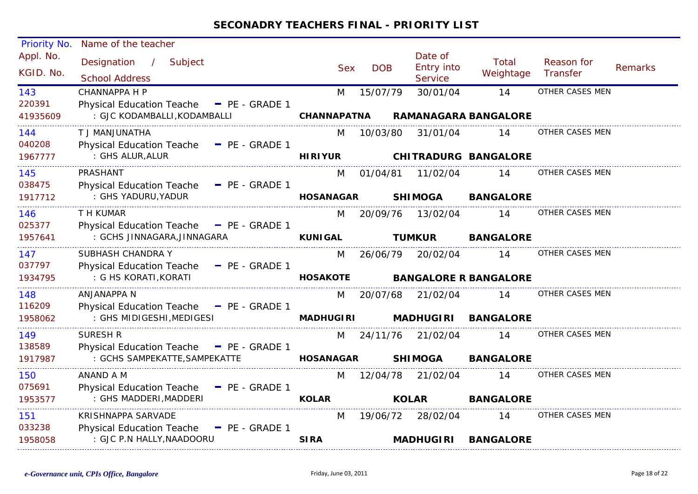| Priority No.           | Name of the teacher                                             |                    |            |                                                |                              |                        |                |
|------------------------|-----------------------------------------------------------------|--------------------|------------|------------------------------------------------|------------------------------|------------------------|----------------|
| Appl. No.<br>KGID. No. | Designation<br>$\sim$ 1<br>Subject<br><b>School Address</b>     | <b>Sex</b>         | <b>DOB</b> | Date of<br><b>Entry into</b><br><b>Service</b> | Total<br>Weightage           | Reason for<br>Transfer | <b>Remarks</b> |
| 143                    | <b>CHANNAPPA H P</b>                                            | M                  | 15/07/79   | 30/01/04                                       | 14                           | OTHER CASES MEN        |                |
| 220391                 | Physical Education Teache - PE - GRADE 1                        |                    |            |                                                |                              |                        |                |
| 41935609               | : GJC KODAMBALLI, KODAMBALLI                                    | <b>CHANNAPATNA</b> |            |                                                | <b>RAMANAGARA BANGALORE</b>  |                        |                |
| 144                    | AHTANUUNATHA                                                    | M                  | 10/03/80   | 31/01/04                                       | 14                           | OTHER CASES MEN        |                |
| 040208                 | <b>Physical Education Teache</b><br>$\blacksquare$ PE - GRADE 1 |                    |            |                                                |                              |                        |                |
| 1967777                | : GHS ALUR, ALUR                                                | <b>HIRIYUR</b>     |            |                                                | <b>CHITRADURG BANGALORE</b>  |                        |                |
| 145                    | PRASHANT                                                        | M                  | 01/04/81   | 11/02/04                                       | 14                           | OTHER CASES MEN        |                |
| 038475                 | Physical Education Teache - PE - GRADE 1                        |                    |            |                                                |                              |                        |                |
| 1917712                | : GHS YADURU, YADUR                                             | <b>HOSANAGAR</b>   |            | <b>SHIMOGA</b>                                 | <b>BANGALORE</b>             |                        |                |
| 146                    | T H KUMAR                                                       | M                  | 20/09/76   | 13/02/04                                       | 14                           | OTHER CASES MEN        |                |
| 025377                 | Physical Education Teache - PE - GRADE 1                        |                    |            |                                                |                              |                        |                |
| 1957641                | : GCHS JINNAGARA, JINNAGARA                                     | <b>KUNIGAL</b>     |            | <b>TUMKUR</b>                                  | <b>BANGALORE</b>             |                        |                |
| 147                    | SUBHASH CHANDRA Y                                               | M                  | 26/06/79   | 20/02/04                                       | 14                           | OTHER CASES MEN        |                |
| 037797                 | <b>Physical Education Teache</b><br>$=$ PE - GRADE 1            |                    |            |                                                |                              |                        |                |
| 1934795                | : G HS KORATI, KORATI                                           | <b>HOSAKOTE</b>    |            |                                                | <b>BANGALORE R BANGALORE</b> |                        |                |
| 148                    | ANJANAPPA N                                                     | M                  | 20/07/68   | 21/02/04                                       | 14                           | OTHER CASES MEN        |                |
| 116209                 | Physical Education Teache - PE - GRADE 1                        |                    |            |                                                |                              |                        |                |
| 1958062                | : GHS MIDIGESHI, MEDIGESI                                       | <b>MADHUGIRI</b>   |            | <b>MADHUGIRI</b>                               | <b>BANGALORE</b>             |                        |                |
| 149                    | <b>SURESH R</b>                                                 | M                  | 24/11/76   | 21/02/04                                       | 14                           | OTHER CASES MEN        |                |
| 138589                 | Physical Education Teache - PE - GRADE 1                        |                    |            |                                                |                              |                        |                |
| 1917987                | : GCHS SAMPEKATTE, SAMPEKATTE                                   | <b>HOSANAGAR</b>   |            | <b>SHIMOGA</b>                                 | <b>BANGALORE</b>             |                        |                |
| 150                    | ANAND A M                                                       | M                  | 12/04/78   | 21/02/04                                       | 14                           | OTHER CASES MEN        |                |
| 075691                 | <b>Physical Education Teache</b><br>$-$ PE - GRADE 1            |                    |            |                                                |                              |                        |                |
| 1953577                | : GHS MADDERI, MADDERI                                          | <b>KOLAR</b>       |            | <b>KOLAR</b>                                   | <b>BANGALORE</b>             |                        |                |
| 151                    | KRISHNAPPA SARVADE                                              | M                  | 19/06/72   | 28/02/04                                       | 14                           | OTHER CASES MEN        |                |
| 033238                 | <b>Physical Education Teache</b><br>$P_{E}$ - GRADE 1           |                    |            |                                                |                              |                        |                |
| 1958058                | : GJC P.N HALLY, NAADOORU                                       | <b>SIRA</b>        |            | <b>MADHUGIRI</b>                               | <b>BANGALORE</b>             |                        |                |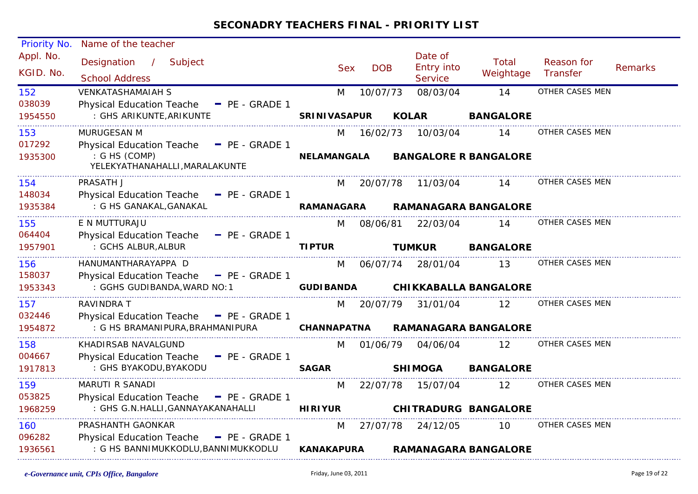| Priority No.             | Name of the teacher                                                                             |                       |            |                                         |                                    |                        |                |
|--------------------------|-------------------------------------------------------------------------------------------------|-----------------------|------------|-----------------------------------------|------------------------------------|------------------------|----------------|
| Appl. No.<br>KGID. No.   | Designation<br>$\mathcal{L}$<br>Subject<br><b>School Address</b>                                | <b>Sex</b>            | <b>DOB</b> | Date of<br>Entry into<br><b>Service</b> | <b>Total</b><br>Weightage          | Reason for<br>Transfer | <b>Remarks</b> |
| 152                      | <b>VENKATASHAMAIAH S</b>                                                                        | M                     | 10/07/73   | 08/03/04                                | 14                                 | OTHER CASES MEN        |                |
| 038039<br>1954550        | <b>Physical Education Teache</b><br>$\blacksquare$ PE - GRADE 1<br>: GHS ARIKUNTE, ARIKUNTE     | <b>SRINIVASAPUR</b>   |            | <b>KOLAR</b>                            | <b>BANGALORE</b>                   |                        |                |
| 153                      | <b>MURUGESAN M</b>                                                                              | M                     | 16/02/73   | 10/03/04                                | 14                                 | OTHER CASES MEN        |                |
| 017292<br>1935300        | Physical Education Teache - PE - GRADE 1<br>: G HS (COMP)<br>YELEKYATHANAHALLI, MARALAKUNTE     | <b>NELAMANGALA</b>    |            |                                         | <b>BANGALORE R BANGALORE</b>       |                        |                |
| 154                      | PRASATH J                                                                                       | M                     | 20/07/78   | 11/03/04                                | 14                                 | OTHER CASES MEN        |                |
| 148034<br>1935384        | Physical Education Teache - PE - GRADE 1<br>: G HS GANAKAL, GANAKAL                             | <b>RAMANAGARA</b>     |            |                                         | <b>RAMANAGARA BANGALORE</b>        |                        |                |
| 155                      | E N MUTTURAJU                                                                                   | M                     | 08/06/81   | 22/03/04                                | 14                                 | OTHER CASES MEN        |                |
| 064404<br>1957901        | Physical Education Teache - PE - GRADE 1<br>: GCHS ALBUR, ALBUR                                 | <b>TIPTUR</b>         |            | <b>TUMKUR</b>                           | <b>BANGALORE</b>                   |                        |                |
| 156<br>158037<br>1953343 | HANUMANTHARAYAPPA D<br>Physical Education Teache - PE - GRADE 1<br>: GGHS GUDIBANDA, WARD NO: 1 | M<br><b>GUDIBANDA</b> | 06/07/74   | 28/01/04                                | 13<br><b>CHIKKABALLA BANGALORE</b> | OTHER CASES MEN        |                |
| 157<br>032446            | RAVINDRA T<br>Physical Education Teache - PE - GRADE 1                                          | M                     | 20/07/79   | 31/01/04                                | 12                                 | OTHER CASES MEN        |                |
| 1954872                  | : G HS BRAMANIPURA, BRAHMANIPURA                                                                | <b>CHANNAPATNA</b>    |            |                                         | <b>RAMANAGARA BANGALORE</b>        |                        |                |
| 158                      | KHADIRSAB NAVALGUND                                                                             | M                     | 01/06/79   | 04/06/04                                | 12                                 | OTHER CASES MEN        |                |
| 004667<br>1917813        | Physical Education Teache - PE - GRADE 1<br>: GHS BYAKODU, BYAKODU                              | <b>SAGAR</b>          |            | <b>SHIMOGA</b>                          | <b>BANGALORE</b>                   |                        |                |
| 159                      | MARUTI R SANADI                                                                                 | M                     | 22/07/78   | 15/07/04                                | 12                                 | OTHER CASES MEN        |                |
| 053825<br>1968259        | Physical Education Teache - PE - GRADE 1<br>: GHS G.N.HALLI, GANNAYAKANAHALLI                   | <b>HIRIYUR</b>        |            |                                         | <b>CHITRADURG BANGALORE</b>        |                        |                |
| 160<br>096282            | PRASHANTH GAONKAR                                                                               | M                     | 27/07/78   | 24/12/05                                | 10                                 | OTHER CASES MEN        |                |
| 1936561                  | Physical Education Teache - PE - GRADE 1<br>: G HS BANNIMUKKODLU, BANNIMUKKODLU                 | <b>KANAKAPURA</b>     |            |                                         | <b>RAMANAGARA BANGALORE</b>        |                        |                |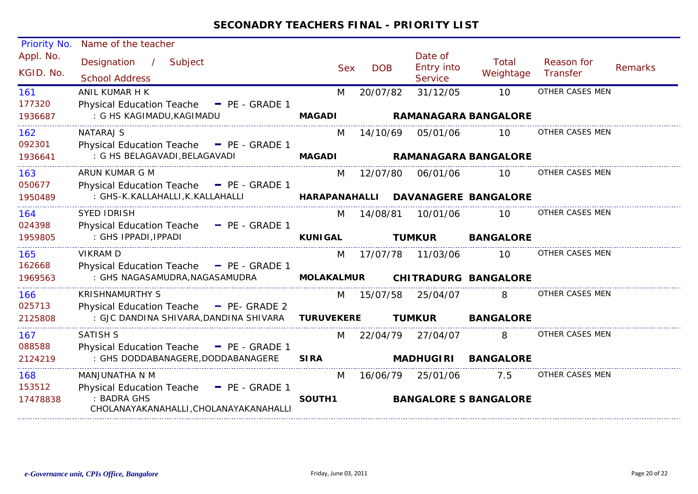| Priority No.           | Name of the teacher                                             |                   |            |                                  |                              |                        |                |
|------------------------|-----------------------------------------------------------------|-------------------|------------|----------------------------------|------------------------------|------------------------|----------------|
| Appl. No.<br>KGID. No. | Designation<br>/ Subject<br><b>School Address</b>               | <b>Sex</b>        | <b>DOB</b> | Date of<br>Entry into<br>Service | <b>Total</b><br>Weightage    | Reason for<br>Transfer | <b>Remarks</b> |
| 161                    | ANIL KUMAR H K                                                  | M                 | 20/07/82   | 31/12/05                         | 10                           | OTHER CASES MEN        |                |
| 177320                 | Physical Education Teache - PE - GRADE 1                        |                   |            |                                  |                              |                        |                |
| 1936687                | : G HS KAGIMADU, KAGIMADU                                       | <b>MAGADI</b>     |            |                                  | <b>RAMANAGARA BANGALORE</b>  |                        |                |
| 162                    | <b>NATARAJ S</b>                                                | M                 | 14/10/69   | 05/01/06                         | 10                           | OTHER CASES MEN        |                |
| 092301                 | Physical Education Teache - PE - GRADE 1                        |                   |            |                                  |                              |                        |                |
| 1936641                | : G HS BELAGAVADI, BELAGAVADI                                   | <b>MAGADI</b>     |            |                                  | <b>RAMANAGARA BANGALORE</b>  |                        |                |
| 163                    | ARUN KUMAR G M                                                  | M                 | 12/07/80   | 06/01/06                         | 10                           | OTHER CASES MEN        |                |
| 050677                 | Physical Education Teache - PE - GRADE 1                        |                   |            |                                  |                              |                        |                |
| 1950489                | : GHS-K.KALLAHALLI, K.KALLAHALLI                                | HARAPANAHALLI     |            |                                  | <b>DAVANAGERE BANGALORE</b>  |                        |                |
| 164                    | <b>SYED IDRISH</b>                                              | M                 | 14/08/81   | 10/01/06                         | 10                           | OTHER CASES MEN        |                |
| 024398                 | <b>Physical Education Teache</b><br>$\blacksquare$ PE - GRADE 1 |                   |            |                                  |                              |                        |                |
| 1959805                | : GHS IPPADI, IPPADI                                            | <b>KUNIGAL</b>    |            | <b>TUMKUR</b>                    | <b>BANGALORE</b>             |                        |                |
| 165                    | <b>VIKRAM D</b>                                                 | M                 | 17/07/78   | 11/03/06                         | 10 <sup>°</sup>              | OTHER CASES MEN        |                |
| 162668                 | Physical Education Teache - PE - GRADE 1                        |                   |            |                                  |                              |                        |                |
| 1969563                | : GHS NAGASAMUDRA, NAGASAMUDRA                                  | <b>MOLAKALMUR</b> |            |                                  | <b>CHITRADURG BANGALORE</b>  |                        |                |
| 166                    | <b>KRISHNAMURTHY S</b>                                          | M                 | 15/07/58   | 25/04/07                         | 8                            | OTHER CASES MEN        |                |
| 025713                 | <b>Physical Education Teache</b><br>$P_{E-}$ GRADE 2            |                   |            |                                  |                              |                        |                |
| 2125808                | : GJC DANDINA SHIVARA, DANDINA SHIVARA                          | <b>TURUVEKERE</b> |            | <b>TUMKUR</b>                    | <b>BANGALORE</b>             |                        |                |
| 167                    | <b>SATISH S</b>                                                 | M                 | 22/04/79   | 27/04/07                         | 8                            | OTHER CASES MEN        |                |
| 088588                 | <b>Physical Education Teache</b><br>$-$ PE - GRADE 1            |                   |            |                                  |                              |                        |                |
| 2124219                | : GHS DODDABANAGERE, DODDABANAGERE                              | <b>SIRA</b>       |            | <b>MADHUGIRI</b>                 | <b>BANGALORE</b>             |                        |                |
| 168                    | MANJUNATHA N M                                                  | M                 | 16/06/79   | 25/01/06                         | 7.5                          | OTHER CASES MEN        |                |
| 153512                 | <b>Physical Education Teache</b><br>$\blacksquare$ PE - GRADE 1 |                   |            |                                  |                              |                        |                |
| 17478838               | : BADRA GHS<br>CHOLANAYAKANAHALLI, CHOLANAYAKANAHALLI           | SOUTH1            |            |                                  | <b>BANGALORE S BANGALORE</b> |                        |                |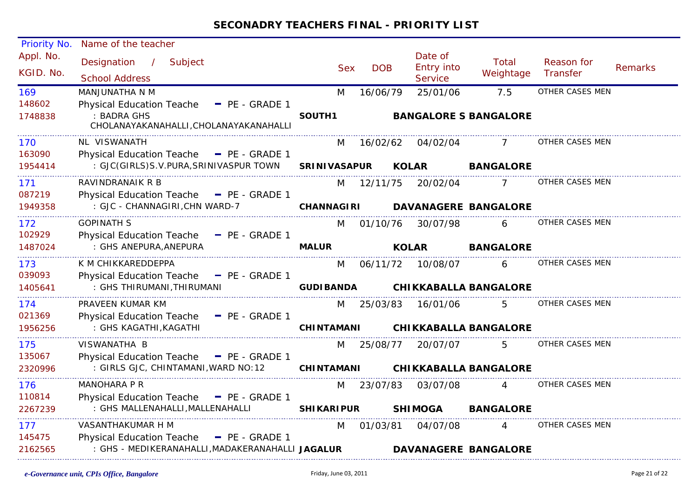| Priority No. | Name of the teacher                                   |                     |            |                              |                  |                 |                |
|--------------|-------------------------------------------------------|---------------------|------------|------------------------------|------------------|-----------------|----------------|
| Appl. No.    | Designation /<br>Subject                              |                     |            | Date of                      | Total            | Reason for      |                |
| KGID. No.    | <b>School Address</b>                                 | <b>Sex</b>          | <b>DOB</b> | Entry into<br><b>Service</b> | Weightage        | Transfer        | <b>Remarks</b> |
| 169          | MANJUNATHA N M                                        | M                   | 16/06/79   | 25/01/06                     | 7.5              | OTHER CASES MEN |                |
| 148602       | <b>Physical Education Teache</b><br>$P_{E}$ - GRADE 1 |                     |            |                              |                  |                 |                |
| 1748838      | : BADRA GHS<br>CHOLANAYAKANAHALLI, CHOLANAYAKANAHALLI | SOUTH1              |            | <b>BANGALORE S BANGALORE</b> |                  |                 |                |
| 170          | NL VISWANATH                                          | M                   |            | 16/02/62 04/02/04            |                  | OTHER CASES MEN |                |
| 163090       | Physical Education Teache - PE - GRADE 1              |                     |            |                              |                  |                 |                |
| 1954414      | : GJC(GIRLS)S.V.PURA,SRINIVASPUR TOWN                 | <b>SRINIVASAPUR</b> |            | <b>KOLAR</b>                 | <b>BANGALORE</b> |                 |                |
| 171          | RAVINDRANAIK R B                                      |                     | M 12/11/75 |                              | 20/02/04 7       | OTHER CASES MEN |                |
| 087219       | Physical Education Teache - PE - GRADE 1              |                     |            |                              |                  |                 |                |
| 1949358      | : GJC - CHANNAGIRI, CHN WARD-7                        | CHANNAGIRI          |            | <b>DAVANAGERE BANGALORE</b>  |                  |                 |                |
| 172          | <b>GOPINATH S</b>                                     |                     | M 01/10/76 | 30/07/98                     | $6 \qquad$       | OTHER CASES MEN |                |
| 102929       | Physical Education Teache - PE - GRADE 1              |                     |            |                              |                  |                 |                |
| 1487024      | : GHS ANEPURA, ANEPURA                                | <b>MALUR</b>        |            | <b>KOLAR</b>                 | <b>BANGALORE</b> |                 |                |
| 173          | K M CHIKKAREDDEPPA                                    | M                   |            | 06/11/72 10/08/07            | 6                | OTHER CASES MEN |                |
| 039093       | Physical Education Teache - PE - GRADE 1              |                     |            |                              |                  |                 |                |
| 1405641      | : GHS THIRUMANI, THIRUMANI                            | <b>GUDIBANDA</b>    |            | <b>CHIKKABALLA BANGALORE</b> |                  |                 |                |
| 174          | PRAVEEN KUMAR KM                                      |                     | M 25/03/83 | 16/01/06                     | 5 <sup>5</sup>   | OTHER CASES MEN |                |
| 021369       | Physical Education Teache - PE - GRADE 1              |                     |            |                              |                  |                 |                |
| 1956256      | : GHS KAGATHI, KAGATHI                                | <b>CHINTAMANI</b>   |            | <b>CHIKKABALLA BANGALORE</b> |                  |                 |                |
| 175          | VISWANATHA B                                          |                     | M 25/08/77 | 20/07/07                     | 5.               | OTHER CASES MEN |                |
| 135067       | Physical Education Teache - PE - GRADE 1              |                     |            |                              |                  |                 |                |
| 2320996      | : GIRLS GJC, CHINTAMANI, WARD NO: 12 CHINTAMANI       |                     |            | <b>CHIKKABALLA BANGALORE</b> |                  |                 |                |
| 176          | MANOHARA P R                                          | M                   | 23/07/83   | 03/07/08                     | 4                | OTHER CASES MEN |                |
| 110814       | Physical Education Teache - PE - GRADE 1              |                     |            |                              |                  |                 |                |
| 2267239      | : GHS MALLENAHALLI, MALLENAHALLI                      | <b>SHIKARIPUR</b>   |            | <b>SHIMOGA</b>               | <b>BANGALORE</b> |                 |                |
| 177          | VASANTHAKUMAR H M                                     | M                   | 01/03/81   | 04/07/08                     | $\overline{4}$   | OTHER CASES MEN |                |
| 145475       | Physical Education Teache - PE - GRADE 1              |                     |            |                              |                  |                 |                |
| 2162565      | : GHS - MEDIKERANAHALLI, MADAKERANAHALLI JAGALUR      |                     |            | DAVANAGERE BANGALORE         |                  |                 |                |